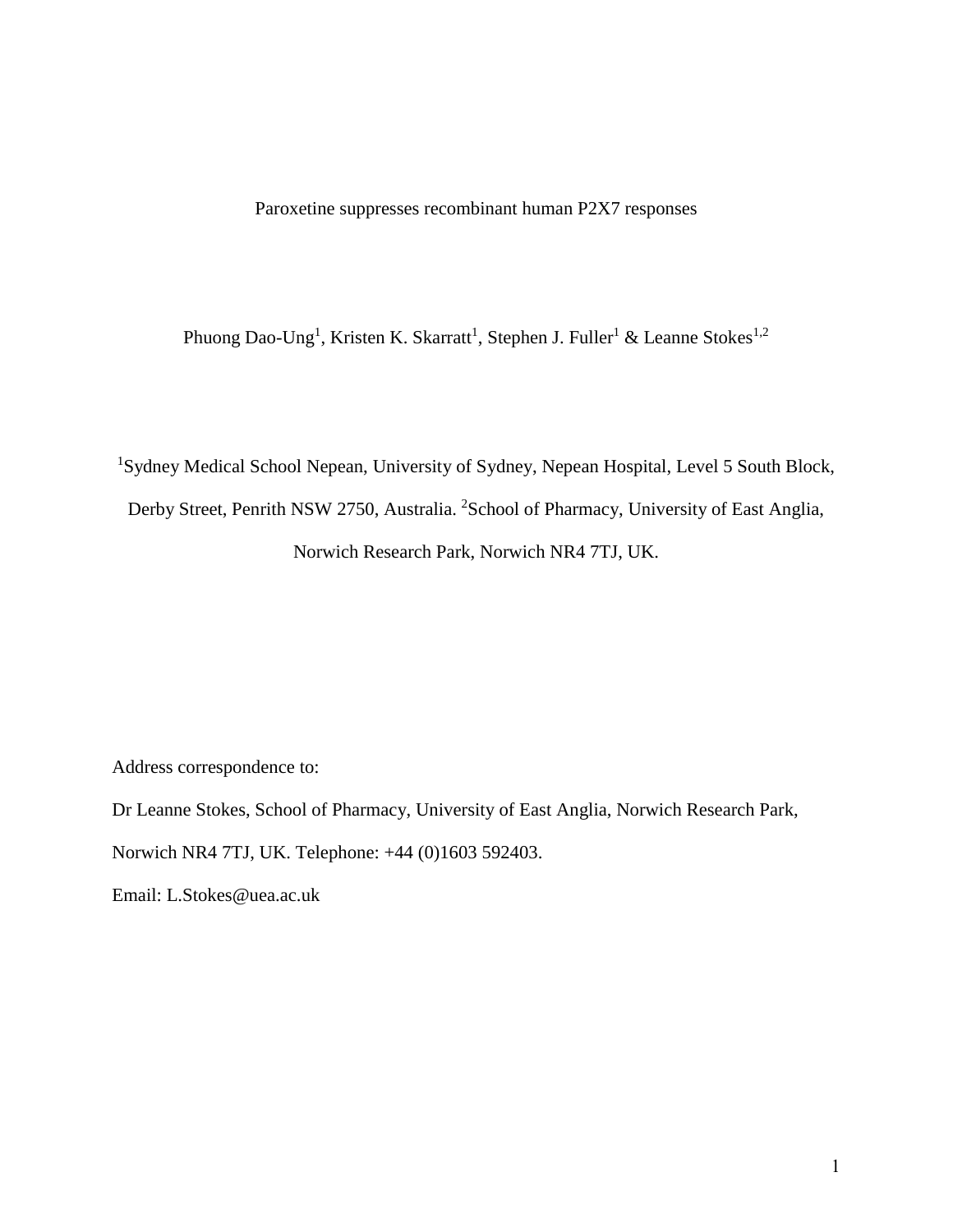Paroxetine suppresses recombinant human P2X7 responses

Phuong Dao-Ung<sup>1</sup>, Kristen K. Skarratt<sup>1</sup>, Stephen J. Fuller<sup>1</sup> & Leanne Stokes<sup>1,2</sup>

<sup>1</sup>Sydney Medical School Nepean, University of Sydney, Nepean Hospital, Level 5 South Block, Derby Street, Penrith NSW 2750, Australia. <sup>2</sup>School of Pharmacy, University of East Anglia, Norwich Research Park, Norwich NR4 7TJ, UK.

Address correspondence to:

Dr Leanne Stokes, School of Pharmacy, University of East Anglia, Norwich Research Park, Norwich NR4 7TJ, UK. Telephone: +44 (0)1603 592403.

Email: L.Stokes@uea.ac.uk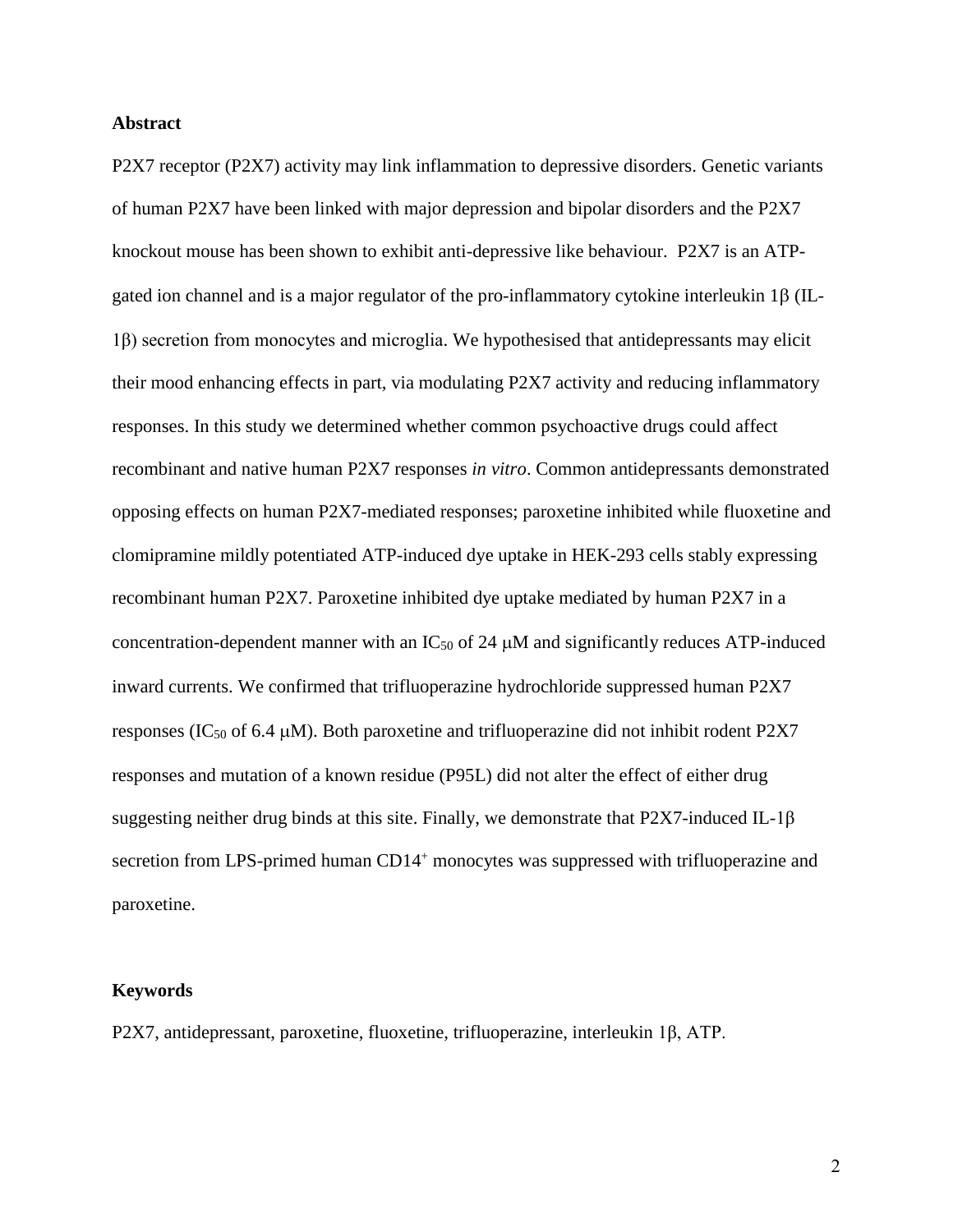#### **Abstract**

P2X7 receptor (P2X7) activity may link inflammation to depressive disorders. Genetic variants of human P2X7 have been linked with major depression and bipolar disorders and the P2X7 knockout mouse has been shown to exhibit anti-depressive like behaviour. P2X7 is an ATPgated ion channel and is a major regulator of the pro-inflammatory cytokine interleukin  $1\beta$  (IL-1β) secretion from monocytes and microglia. We hypothesised that antidepressants may elicit their mood enhancing effects in part, via modulating P2X7 activity and reducing inflammatory responses. In this study we determined whether common psychoactive drugs could affect recombinant and native human P2X7 responses *in vitro*. Common antidepressants demonstrated opposing effects on human P2X7-mediated responses; paroxetine inhibited while fluoxetine and clomipramine mildly potentiated ATP-induced dye uptake in HEK-293 cells stably expressing recombinant human P2X7. Paroxetine inhibited dye uptake mediated by human P2X7 in a concentration-dependent manner with an  $IC_{50}$  of 24  $\mu$ M and significantly reduces ATP-induced inward currents. We confirmed that trifluoperazine hydrochloride suppressed human P2X7 responses (IC<sub>50</sub> of 6.4  $\mu$ M). Both paroxetine and trifluoperazine did not inhibit rodent P2X7 responses and mutation of a known residue (P95L) did not alter the effect of either drug suggesting neither drug binds at this site. Finally, we demonstrate that P2X7-induced IL-1β secretion from LPS-primed human CD14<sup>+</sup> monocytes was suppressed with trifluoperazine and paroxetine.

#### **Keywords**

P2X7, antidepressant, paroxetine, fluoxetine, trifluoperazine, interleukin 1β, ATP.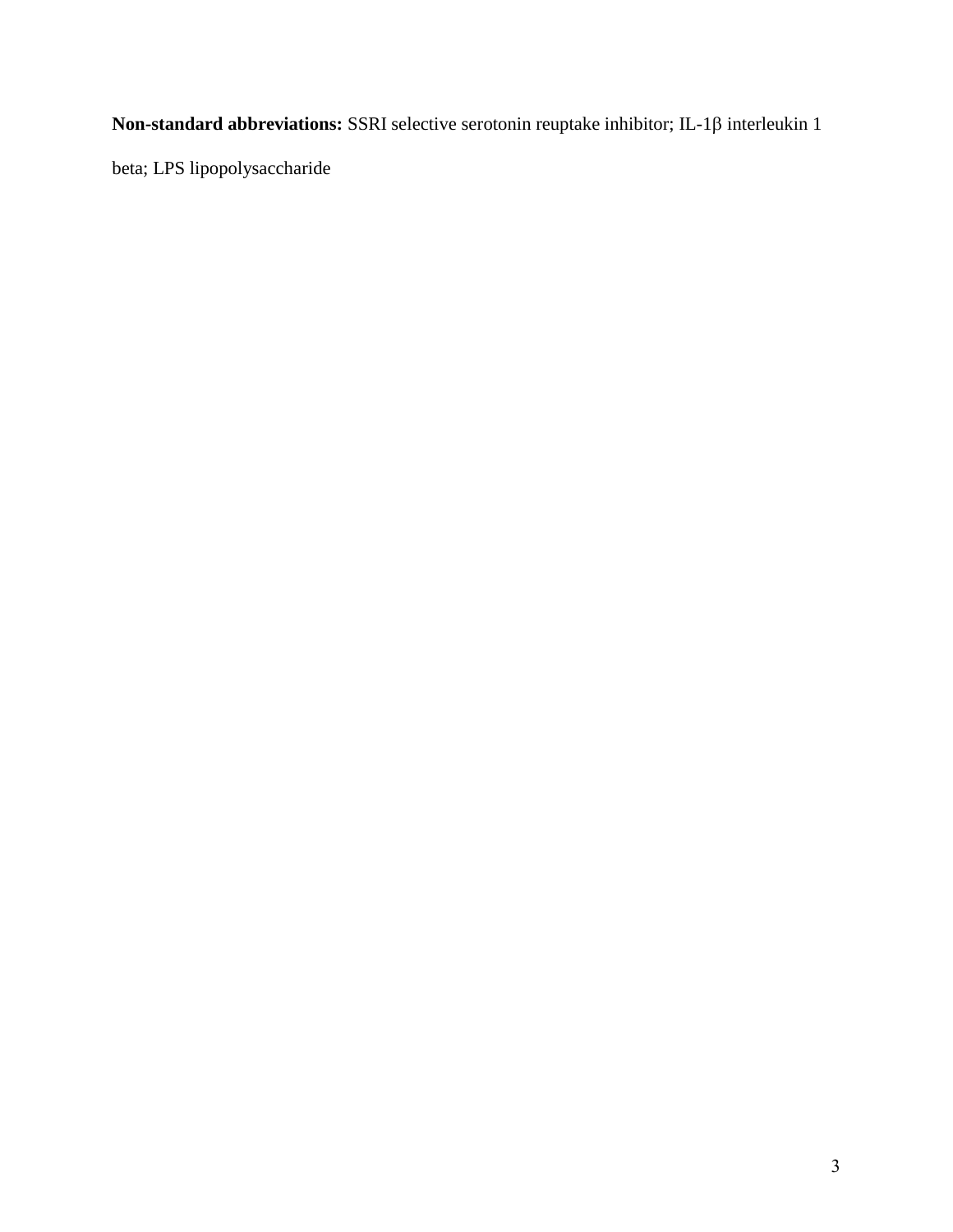**Non-standard abbreviations:** SSRI selective serotonin reuptake inhibitor; IL-1 $\beta$  interleukin 1

beta; LPS lipopolysaccharide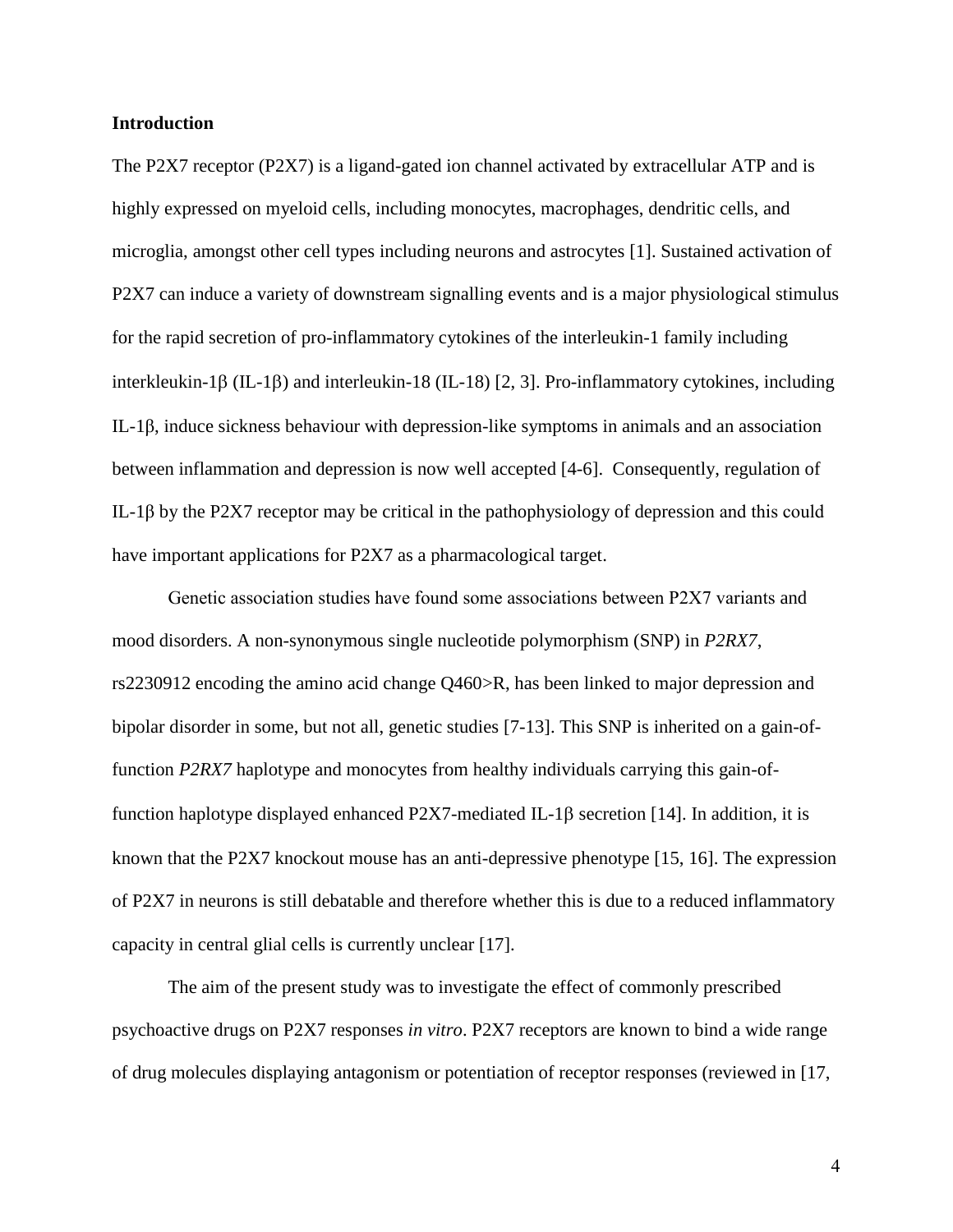#### **Introduction**

The P2X7 receptor (P2X7) is a ligand-gated ion channel activated by extracellular ATP and is highly expressed on myeloid cells, including monocytes, macrophages, dendritic cells, and microglia, amongst other cell types including neurons and astrocytes [\[1\]](#page-17-0). Sustained activation of P2X7 can induce a variety of downstream signalling events and is a major physiological stimulus for the rapid secretion of pro-inflammatory cytokines of the interleukin-1 family including interkleukin-1 $\beta$  (IL-1 $\beta$ ) and interleukin-18 (IL-18) [\[2,](#page-17-1) [3\]](#page-17-2). Pro-inflammatory cytokines, including IL-1β, induce sickness behaviour with depression-like symptoms in animals and an association between inflammation and depression is now well accepted [\[4-6\]](#page-17-3). Consequently, regulation of IL-1β by the P2X7 receptor may be critical in the pathophysiology of depression and this could have important applications for P2X7 as a pharmacological target.

Genetic association studies have found some associations between P2X7 variants and mood disorders. A non-synonymous single nucleotide polymorphism (SNP) in *P2RX7*, rs2230912 encoding the amino acid change Q460>R, has been linked to major depression and bipolar disorder in some, but not all, genetic studies [\[7-13\]](#page-17-4). This SNP is inherited on a gain-offunction *P2RX7* haplotype and monocytes from healthy individuals carrying this gain-offunction haplotype displayed enhanced P2X7-mediated IL-1 $\beta$  secretion [\[14\]](#page-17-5). In addition, it is known that the P2X7 knockout mouse has an anti-depressive phenotype [\[15,](#page-17-6) [16\]](#page-17-7). The expression of P2X7 in neurons is still debatable and therefore whether this is due to a reduced inflammatory capacity in central glial cells is currently unclear [17].

The aim of the present study was to investigate the effect of commonly prescribed psychoactive drugs on P2X7 responses *in vitro*. P2X7 receptors are known to bind a wide range of drug molecules displaying antagonism or potentiation of receptor responses (reviewed in [\[17,](#page-17-8)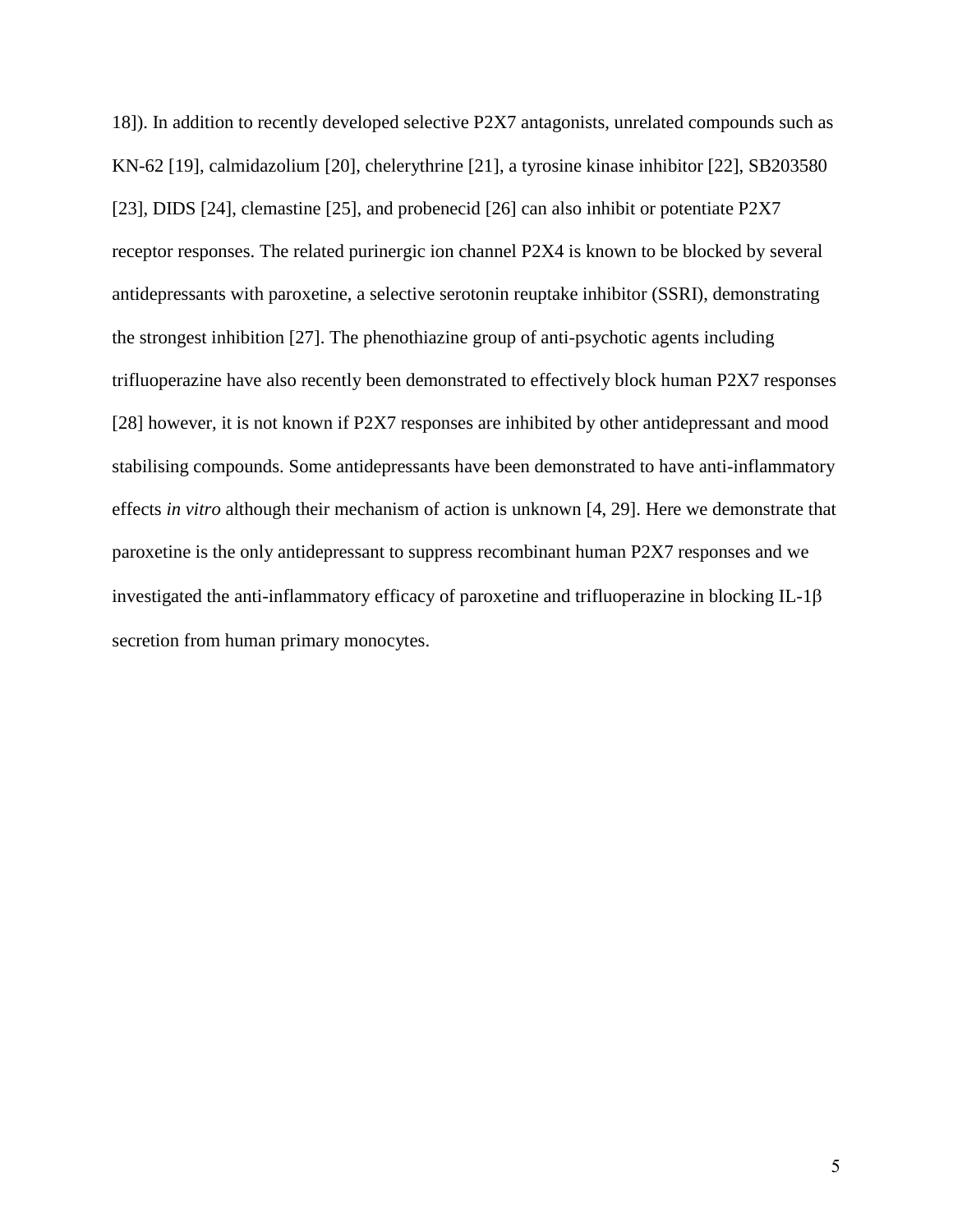[18\]](#page-18-0)). In addition to recently developed selective P2X7 antagonists, unrelated compounds such as KN-62 [\[19\]](#page-18-1), calmidazolium [\[20\]](#page-18-2), chelerythrine [\[21\]](#page-18-3), a tyrosine kinase inhibitor [\[22\]](#page-18-4), SB203580 [\[23\]](#page-18-5), DIDS [\[24\]](#page-18-6), clemastine [\[25\]](#page-18-7), and probenecid [\[26\]](#page-18-8) can also inhibit or potentiate P2X7 receptor responses. The related purinergic ion channel P2X4 is known to be blocked by several antidepressants with paroxetine, a selective serotonin reuptake inhibitor (SSRI), demonstrating the strongest inhibition [\[27\]](#page-18-9). The phenothiazine group of anti-psychotic agents including trifluoperazine have also recently been demonstrated to effectively block human P2X7 responses [\[28\]](#page-18-10) however, it is not known if P2X7 responses are inhibited by other antidepressant and mood stabilising compounds. Some antidepressants have been demonstrated to have anti-inflammatory effects *in vitro* although their mechanism of action is unknown [\[4,](#page-17-3) [29\]](#page-18-11). Here we demonstrate that paroxetine is the only antidepressant to suppress recombinant human P2X7 responses and we investigated the anti-inflammatory efficacy of paroxetine and trifluoperazine in blocking IL-1 $\beta$ secretion from human primary monocytes.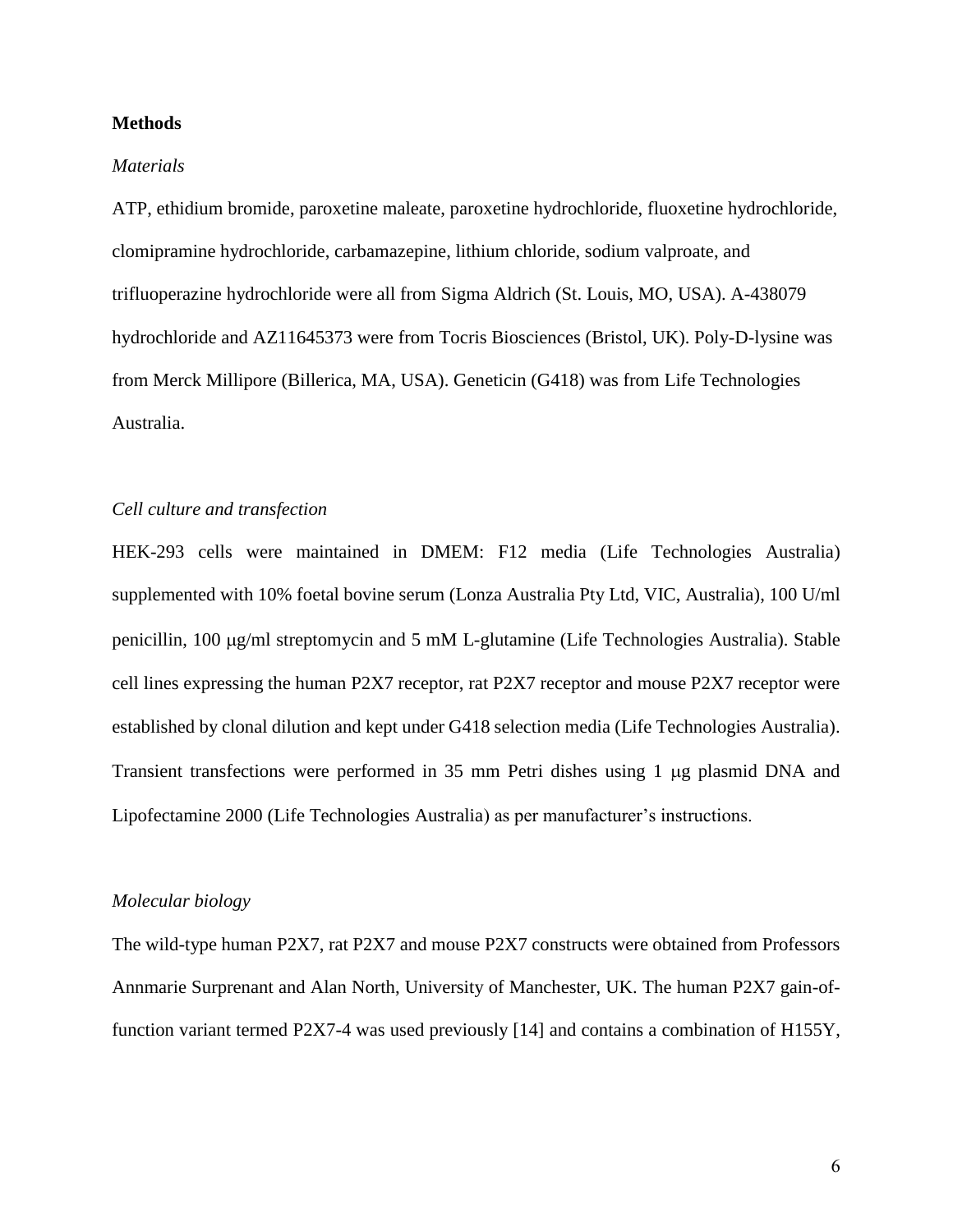#### **Methods**

#### *Materials*

ATP, ethidium bromide, paroxetine maleate, paroxetine hydrochloride, fluoxetine hydrochloride, clomipramine hydrochloride, carbamazepine, lithium chloride, sodium valproate, and trifluoperazine hydrochloride were all from Sigma Aldrich (St. Louis, MO, USA). A-438079 hydrochloride and AZ11645373 were from Tocris Biosciences (Bristol, UK). Poly-D-lysine was from Merck Millipore (Billerica, MA, USA). Geneticin (G418) was from Life Technologies Australia.

## *Cell culture and transfection*

HEK-293 cells were maintained in DMEM: F12 media (Life Technologies Australia) supplemented with 10% foetal bovine serum (Lonza Australia Pty Ltd, VIC, Australia), 100 U/ml penicillin, 100  $\mu$ g/ml streptomycin and 5 mM L-glutamine (Life Technologies Australia). Stable cell lines expressing the human P2X7 receptor, rat P2X7 receptor and mouse P2X7 receptor were established by clonal dilution and kept under G418 selection media (Life Technologies Australia). Transient transfections were performed in 35 mm Petri dishes using 1 µg plasmid DNA and Lipofectamine 2000 (Life Technologies Australia) as per manufacturer's instructions.

### *Molecular biology*

The wild-type human P2X7, rat P2X7 and mouse P2X7 constructs were obtained from Professors Annmarie Surprenant and Alan North, University of Manchester, UK. The human P2X7 gain-offunction variant termed P2X7-4 was used previously [\[14\]](#page-17-5) and contains a combination of H155Y,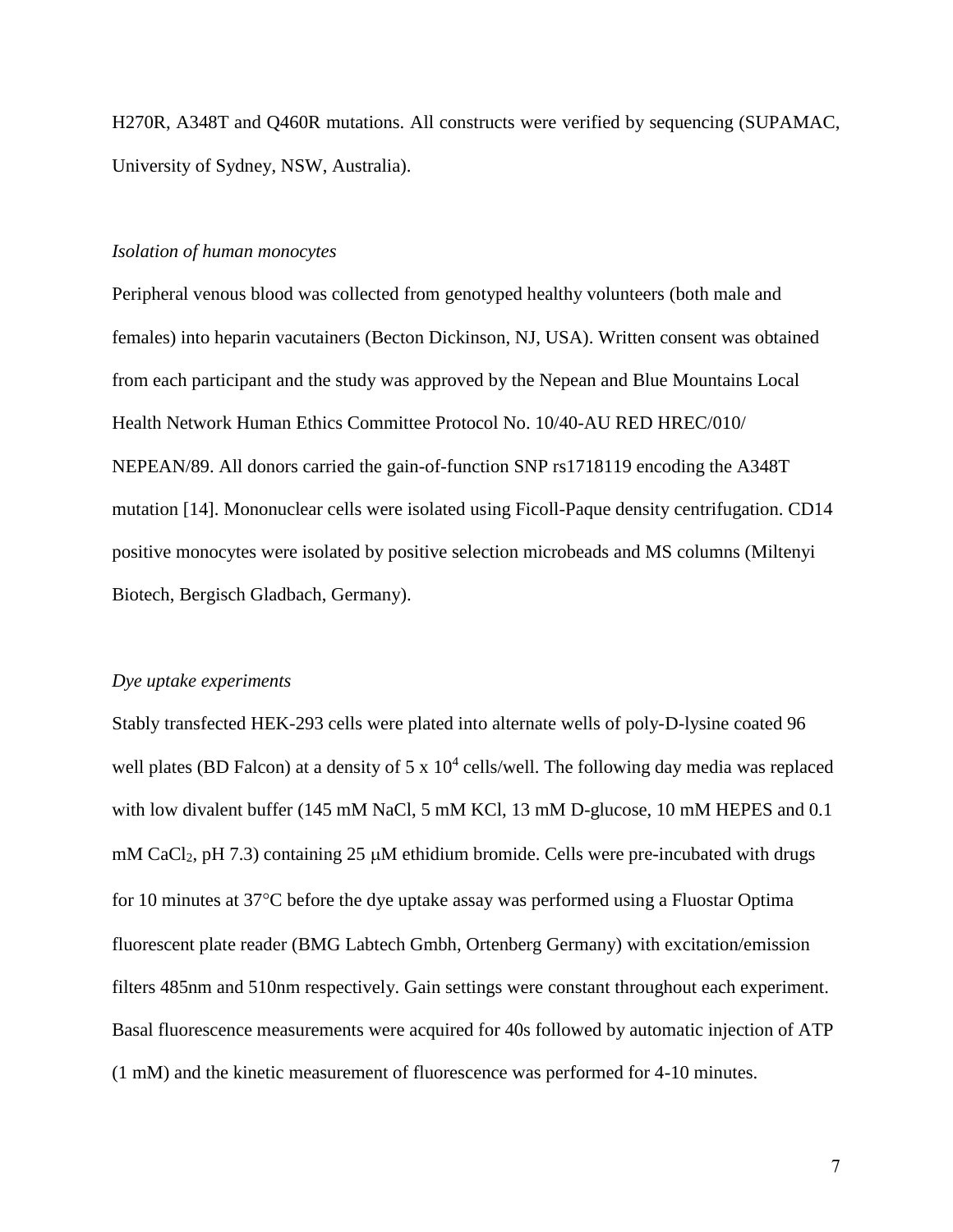H270R, A348T and Q460R mutations. All constructs were verified by sequencing (SUPAMAC, University of Sydney, NSW, Australia).

#### *Isolation of human monocytes*

Peripheral venous blood was collected from genotyped healthy volunteers (both male and females) into heparin vacutainers (Becton Dickinson, NJ, USA). Written consent was obtained from each participant and the study was approved by the Nepean and Blue Mountains Local Health Network Human Ethics Committee Protocol No. 10/40-AU RED HREC/010/ NEPEAN/89. All donors carried the gain-of-function SNP rs1718119 encoding the A348T mutation [\[14\]](#page-17-5). Mononuclear cells were isolated using Ficoll-Paque density centrifugation. CD14 positive monocytes were isolated by positive selection microbeads and MS columns (Miltenyi Biotech, Bergisch Gladbach, Germany).

#### *Dye uptake experiments*

Stably transfected HEK-293 cells were plated into alternate wells of poly-D-lysine coated 96 well plates (BD Falcon) at a density of  $5 \times 10^4$  cells/well. The following day media was replaced with low divalent buffer (145 mM NaCl, 5 mM KCl, 13 mM D-glucose, 10 mM HEPES and 0.1 mM CaCl<sub>2</sub>, pH 7.3) containing 25  $\mu$ M ethidium bromide. Cells were pre-incubated with drugs for 10 minutes at 37°C before the dye uptake assay was performed using a Fluostar Optima fluorescent plate reader (BMG Labtech Gmbh, Ortenberg Germany) with excitation/emission filters 485nm and 510nm respectively. Gain settings were constant throughout each experiment. Basal fluorescence measurements were acquired for 40s followed by automatic injection of ATP (1 mM) and the kinetic measurement of fluorescence was performed for 4-10 minutes.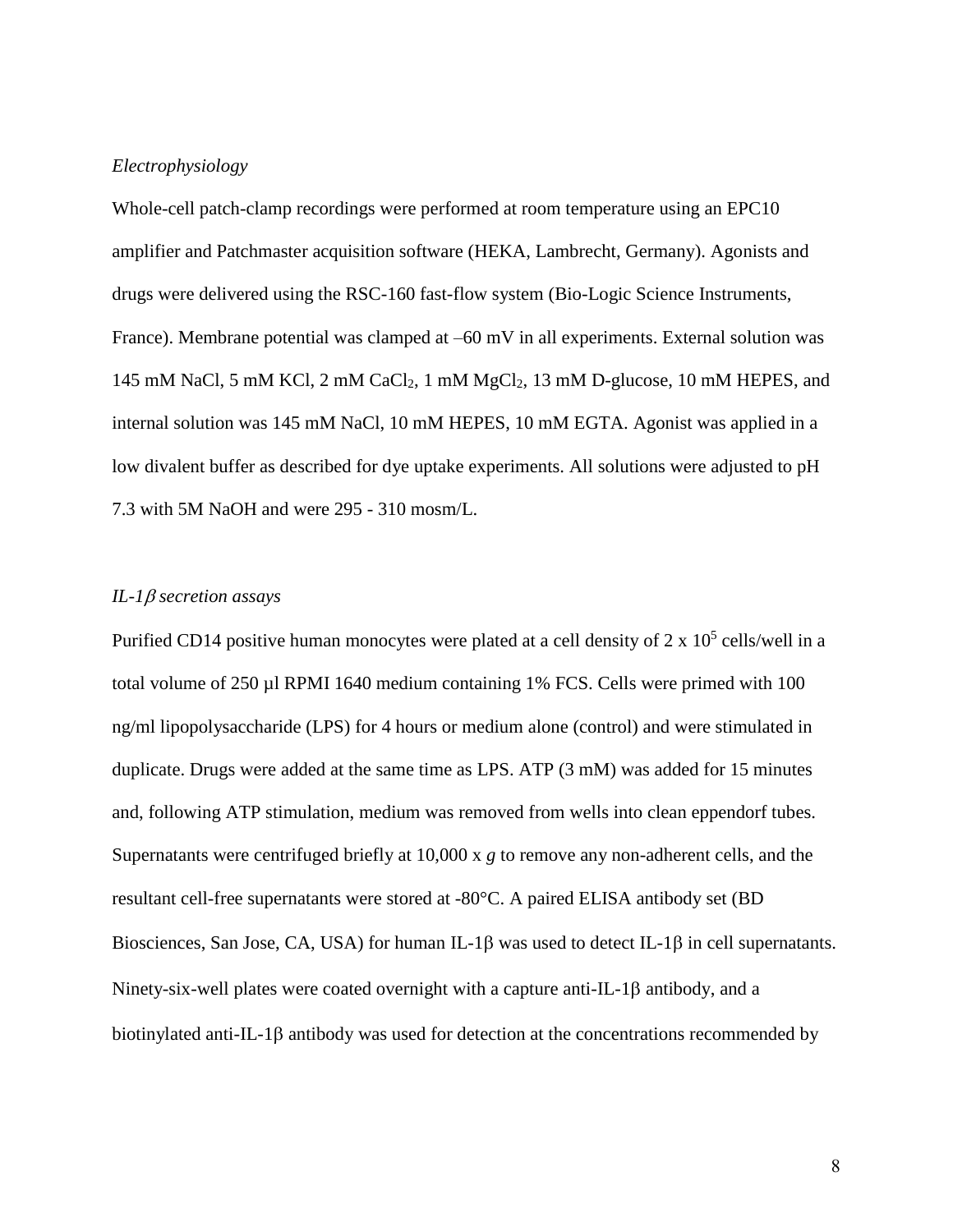### *Electrophysiology*

Whole-cell patch-clamp recordings were performed at room temperature using an EPC10 amplifier and Patchmaster acquisition software (HEKA, Lambrecht, Germany). Agonists and drugs were delivered using the RSC-160 fast-flow system (Bio-Logic Science Instruments, France). Membrane potential was clamped at –60 mV in all experiments. External solution was 145 mM NaCl, 5 mM KCl, 2 mM CaCl<sub>2</sub>, 1 mM MgCl<sub>2</sub>, 13 mM D-glucose, 10 mM HEPES, and internal solution was 145 mM NaCl, 10 mM HEPES, 10 mM EGTA. Agonist was applied in a low divalent buffer as described for dye uptake experiments. All solutions were adjusted to pH 7.3 with 5M NaOH and were 295 - 310 mosm/L.

## *IL-1* $\beta$  *secretion assays*

Purified CD14 positive human monocytes were plated at a cell density of  $2 \times 10^5$  cells/well in a total volume of 250 µl RPMI 1640 medium containing 1% FCS. Cells were primed with 100 ng/ml lipopolysaccharide (LPS) for 4 hours or medium alone (control) and were stimulated in duplicate. Drugs were added at the same time as LPS. ATP (3 mM) was added for 15 minutes and, following ATP stimulation, medium was removed from wells into clean eppendorf tubes. Supernatants were centrifuged briefly at 10,000 x *g* to remove any non-adherent cells, and the resultant cell-free supernatants were stored at -80°C. A paired ELISA antibody set (BD Biosciences, San Jose, CA, USA) for human IL-1 $\beta$  was used to detect IL-1 $\beta$  in cell supernatants. Ninety-six-well plates were coated overnight with a capture anti-IL-1 $\beta$  antibody, and a biotinylated anti-IL-1 $\beta$  antibody was used for detection at the concentrations recommended by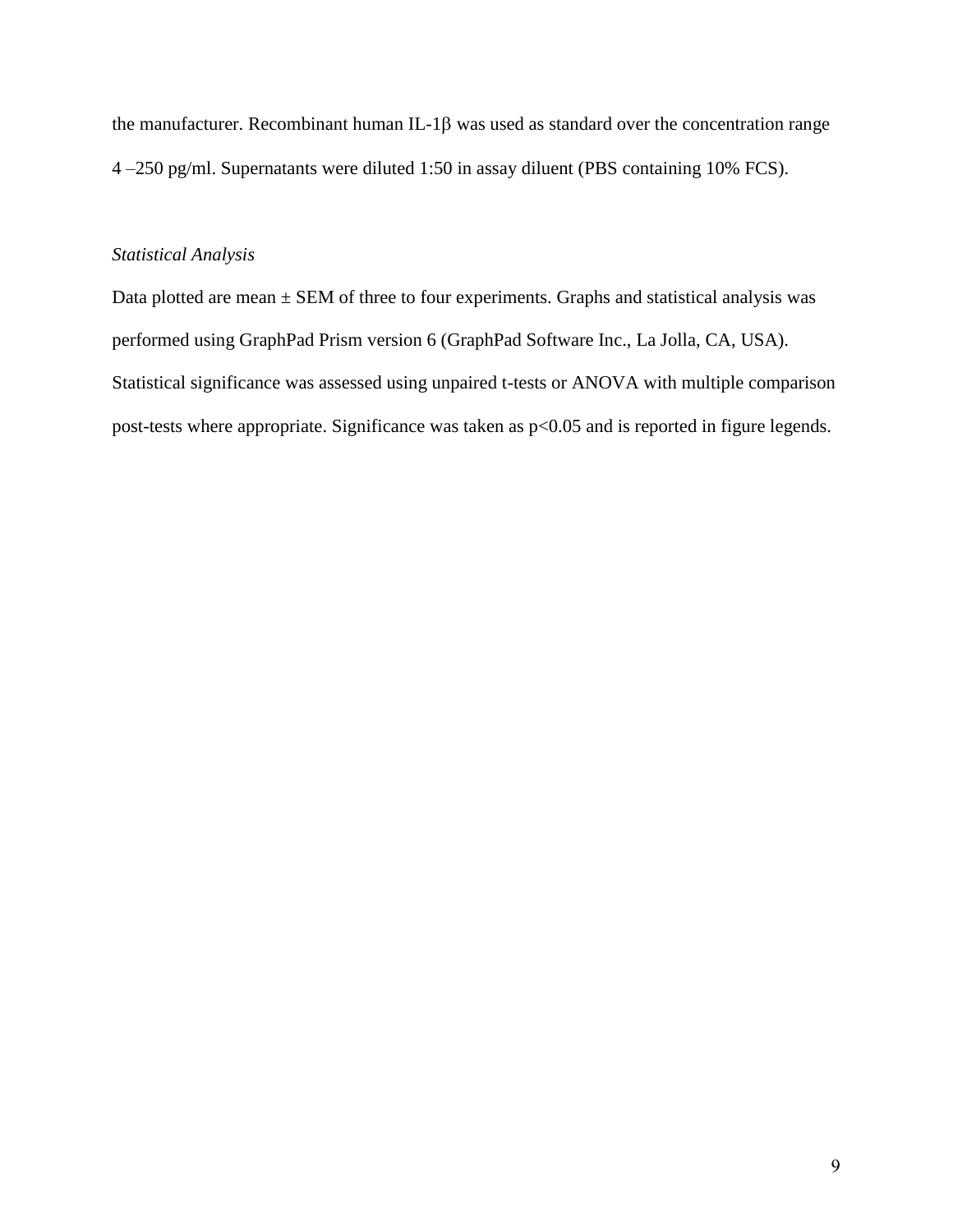the manufacturer. Recombinant human IL-1 $\beta$  was used as standard over the concentration range 4 –250 pg/ml. Supernatants were diluted 1:50 in assay diluent (PBS containing 10% FCS).

#### *Statistical Analysis*

Data plotted are mean  $\pm$  SEM of three to four experiments. Graphs and statistical analysis was performed using GraphPad Prism version 6 (GraphPad Software Inc., La Jolla, CA, USA). Statistical significance was assessed using unpaired t-tests or ANOVA with multiple comparison post-tests where appropriate. Significance was taken as p<0.05 and is reported in figure legends.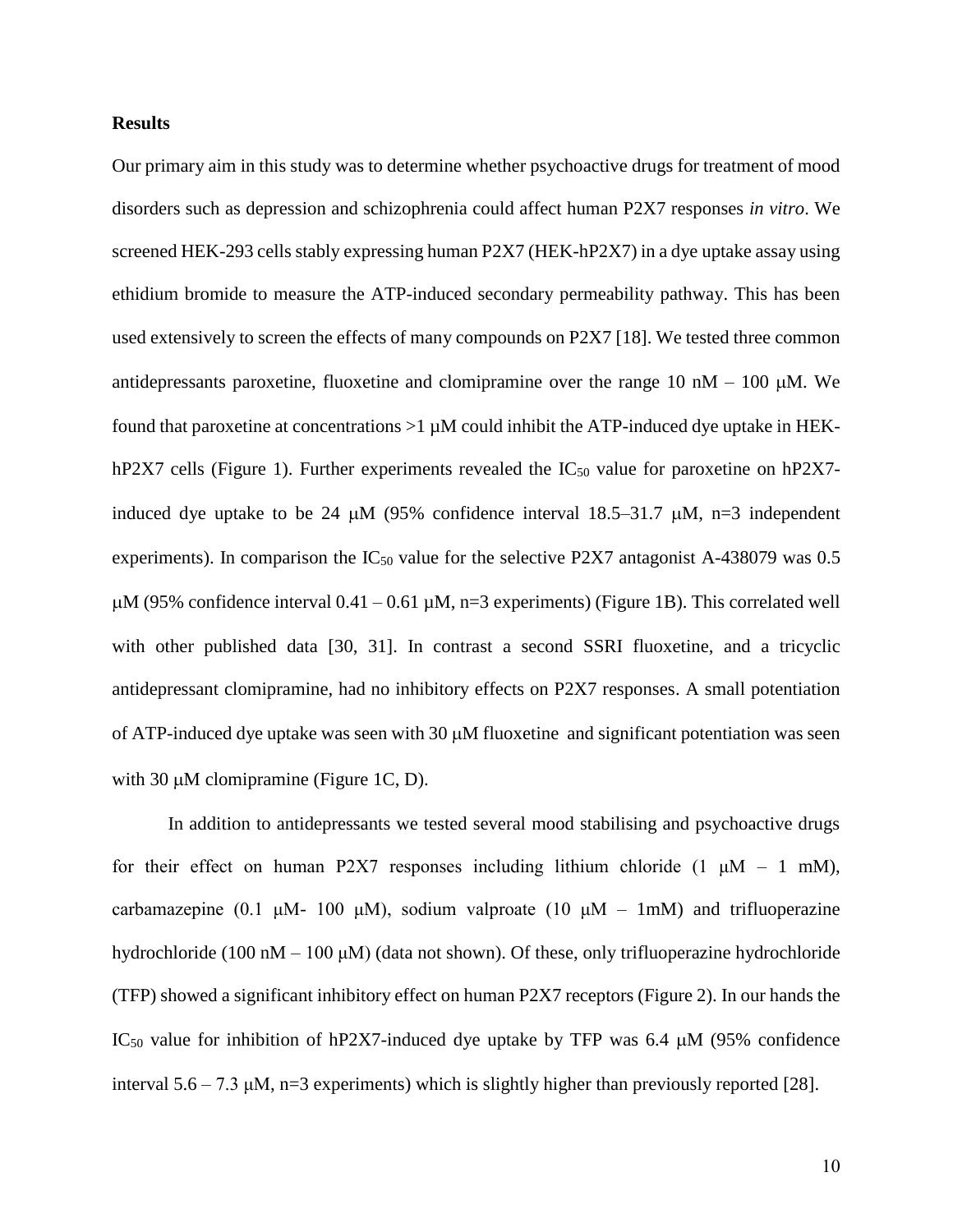#### **Results**

Our primary aim in this study was to determine whether psychoactive drugs for treatment of mood disorders such as depression and schizophrenia could affect human P2X7 responses *in vitro*. We screened HEK-293 cells stably expressing human P2X7 (HEK-hP2X7) in a dye uptake assay using ethidium bromide to measure the ATP-induced secondary permeability pathway. This has been used extensively to screen the effects of many compounds on P2X7 [\[18\]](#page-18-0). We tested three common antidepressants paroxetine, fluoxetine and clomipramine over the range  $10 \text{ nM} - 100 \text{ µM}$ . We found that paroxetine at concentrations  $>1 \mu M$  could inhibit the ATP-induced dye uptake in HEKhP2X7 cells (Figure 1). Further experiments revealed the  $IC_{50}$  value for paroxetine on hP2X7induced dye uptake to be 24  $\mu$ M (95% confidence interval 18.5–31.7  $\mu$ M, n=3 independent experiments). In comparison the  $IC_{50}$  value for the selective P2X7 antagonist A-438079 was 0.5  $\mu$ M (95% confidence interval 0.41 – 0.61  $\mu$ M, n=3 experiments) (Figure 1B). This correlated well with other published data [\[30,](#page-18-12) [31\]](#page-18-13). In contrast a second SSRI fluoxetine, and a tricyclic antidepressant clomipramine, had no inhibitory effects on P2X7 responses. A small potentiation of ATP-induced dye uptake was seen with 30  $\mu$ M fluoxetine and significant potentiation was seen with 30  $\mu$ M clomipramine (Figure 1C, D).

In addition to antidepressants we tested several mood stabilising and psychoactive drugs for their effect on human P2X7 responses including lithium chloride  $(1 \mu M - 1 \mu M)$ , carbamazepine (0.1 μM- 100 μM), sodium valproate (10 μM – 1mM) and trifluoperazine hydrochloride (100 nM – 100 μM) (data not shown). Of these, only trifluoperazine hydrochloride (TFP) showed a significant inhibitory effect on human P2X7 receptors (Figure 2). In our hands the IC<sub>50</sub> value for inhibition of hP2X7-induced dye uptake by TFP was 6.4  $\mu$ M (95% confidence interval  $5.6 - 7.3 \mu M$ , n=3 experiments) which is slightly higher than previously reported [\[28\]](#page-18-10).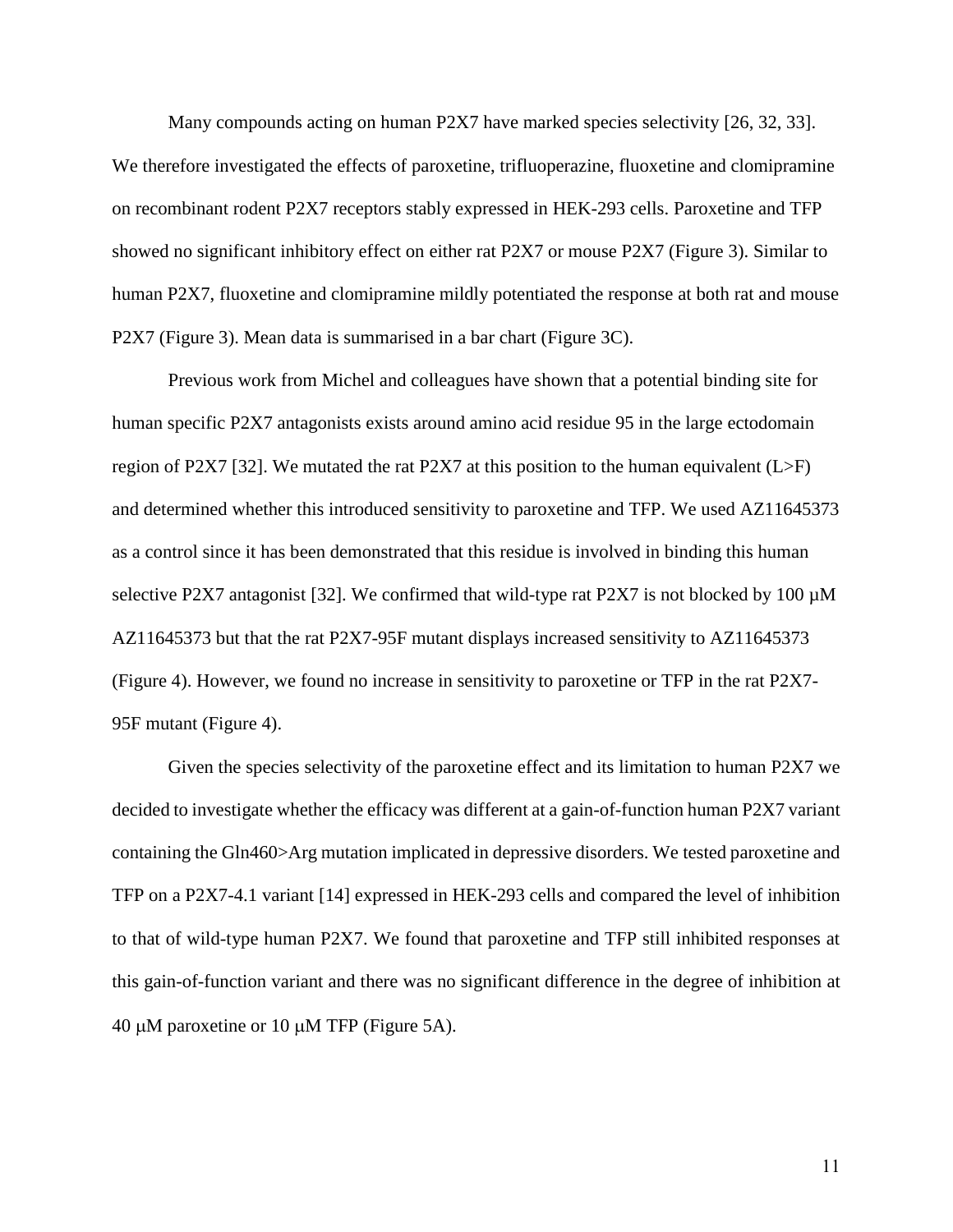Many compounds acting on human P2X7 have marked species selectivity [\[26,](#page-18-8) [32,](#page-18-14) [33\]](#page-18-15). We therefore investigated the effects of paroxetine, trifluoperazine, fluoxetine and clomipramine on recombinant rodent P2X7 receptors stably expressed in HEK-293 cells. Paroxetine and TFP showed no significant inhibitory effect on either rat P2X7 or mouse P2X7 (Figure 3). Similar to human P2X7, fluoxetine and clomipramine mildly potentiated the response at both rat and mouse P2X7 (Figure 3). Mean data is summarised in a bar chart (Figure 3C).

Previous work from Michel and colleagues have shown that a potential binding site for human specific P2X7 antagonists exists around amino acid residue 95 in the large ectodomain region of P2X7 [\[32\]](#page-18-14). We mutated the rat P2X7 at this position to the human equivalent  $(L>F)$ and determined whether this introduced sensitivity to paroxetine and TFP. We used AZ11645373 as a control since it has been demonstrated that this residue is involved in binding this human selective P2X7 antagonist [\[32\]](#page-18-14). We confirmed that wild-type rat P2X7 is not blocked by 100  $\mu$ M AZ11645373 but that the rat P2X7-95F mutant displays increased sensitivity to AZ11645373 (Figure 4). However, we found no increase in sensitivity to paroxetine or TFP in the rat P2X7- 95F mutant (Figure 4).

Given the species selectivity of the paroxetine effect and its limitation to human P2X7 we decided to investigate whether the efficacy was different at a gain-of-function human P2X7 variant containing the Gln460>Arg mutation implicated in depressive disorders. We tested paroxetine and TFP on a P2X7-4.1 variant [\[14\]](#page-17-5) expressed in HEK-293 cells and compared the level of inhibition to that of wild-type human P2X7. We found that paroxetine and TFP still inhibited responses at this gain-of-function variant and there was no significant difference in the degree of inhibition at 40  $\mu$ M paroxetine or 10  $\mu$ M TFP (Figure 5A).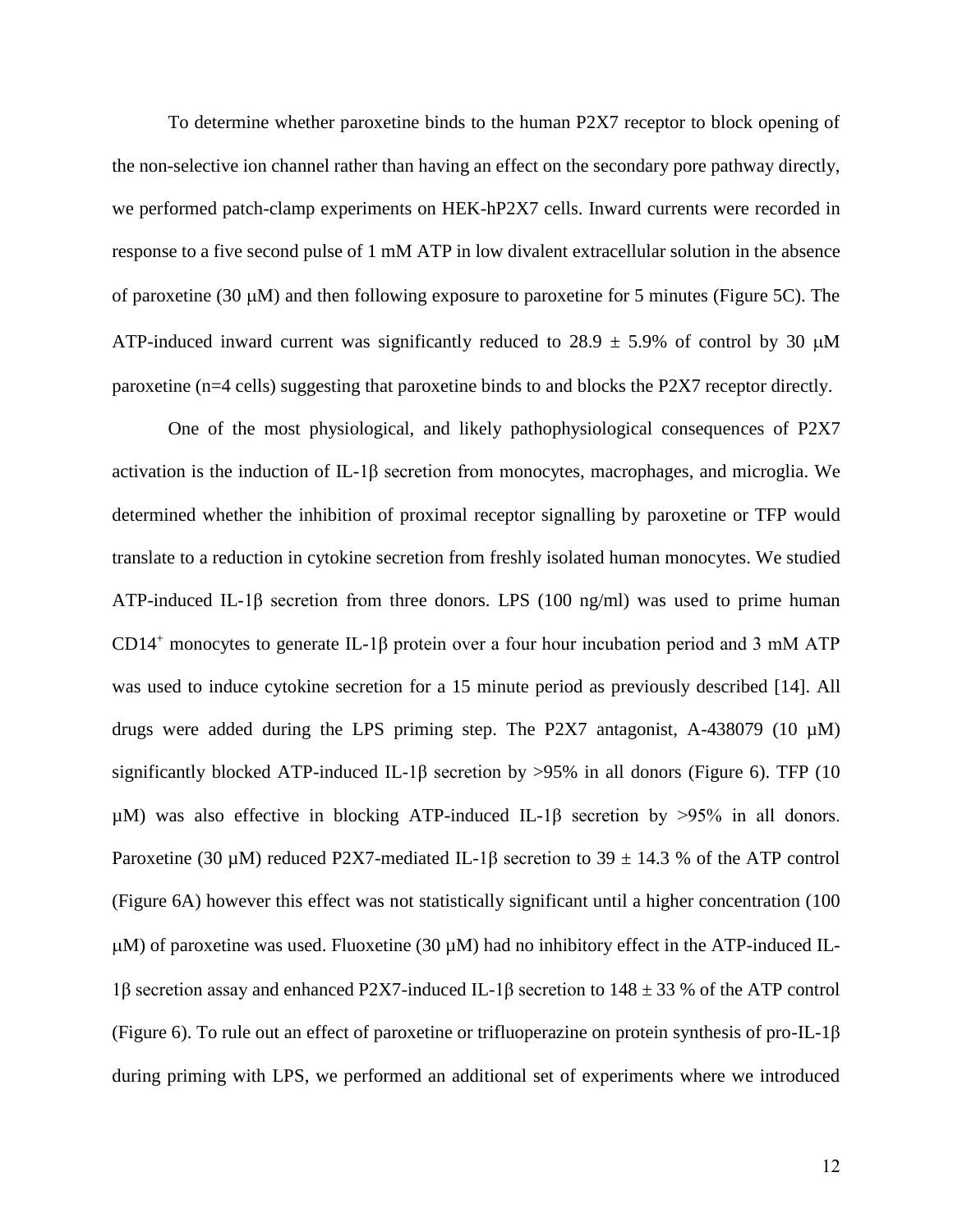To determine whether paroxetine binds to the human P2X7 receptor to block opening of the non-selective ion channel rather than having an effect on the secondary pore pathway directly, we performed patch-clamp experiments on HEK-hP2X7 cells. Inward currents were recorded in response to a five second pulse of 1 mM ATP in low divalent extracellular solution in the absence of paroxetine (30  $\mu$ M) and then following exposure to paroxetine for 5 minutes (Figure 5C). The ATP-induced inward current was significantly reduced to  $28.9 \pm 5.9\%$  of control by 30  $\mu$ M paroxetine (n=4 cells) suggesting that paroxetine binds to and blocks the P2X7 receptor directly.

One of the most physiological, and likely pathophysiological consequences of P2X7 activation is the induction of IL-1β secretion from monocytes, macrophages, and microglia. We determined whether the inhibition of proximal receptor signalling by paroxetine or TFP would translate to a reduction in cytokine secretion from freshly isolated human monocytes. We studied ATP-induced IL-1 $\beta$  secretion from three donors. LPS (100 ng/ml) was used to prime human CD14<sup>+</sup> monocytes to generate IL-1β protein over a four hour incubation period and 3 mM ATP was used to induce cytokine secretion for a 15 minute period as previously described [\[14\]](#page-17-5). All drugs were added during the LPS priming step. The P2X7 antagonist, A-438079 (10  $\mu$ M) significantly blocked ATP-induced IL-1 $\beta$  secretion by >95% in all donors (Figure 6). TFP (10 µM) was also effective in blocking ATP-induced IL-1β secretion by >95% in all donors. Paroxetine (30 µM) reduced P2X7-mediated IL-1 $\beta$  secretion to 39  $\pm$  14.3 % of the ATP control (Figure 6A) however this effect was not statistically significant until a higher concentration (100  $\mu$ M) of paroxetine was used. Fluoxetine (30  $\mu$ M) had no inhibitory effect in the ATP-induced IL-1β secretion assay and enhanced P2X7-induced IL-1β secretion to  $148 \pm 33$  % of the ATP control (Figure 6). To rule out an effect of paroxetine or trifluoperazine on protein synthesis of pro-IL-1 $\beta$ during priming with LPS, we performed an additional set of experiments where we introduced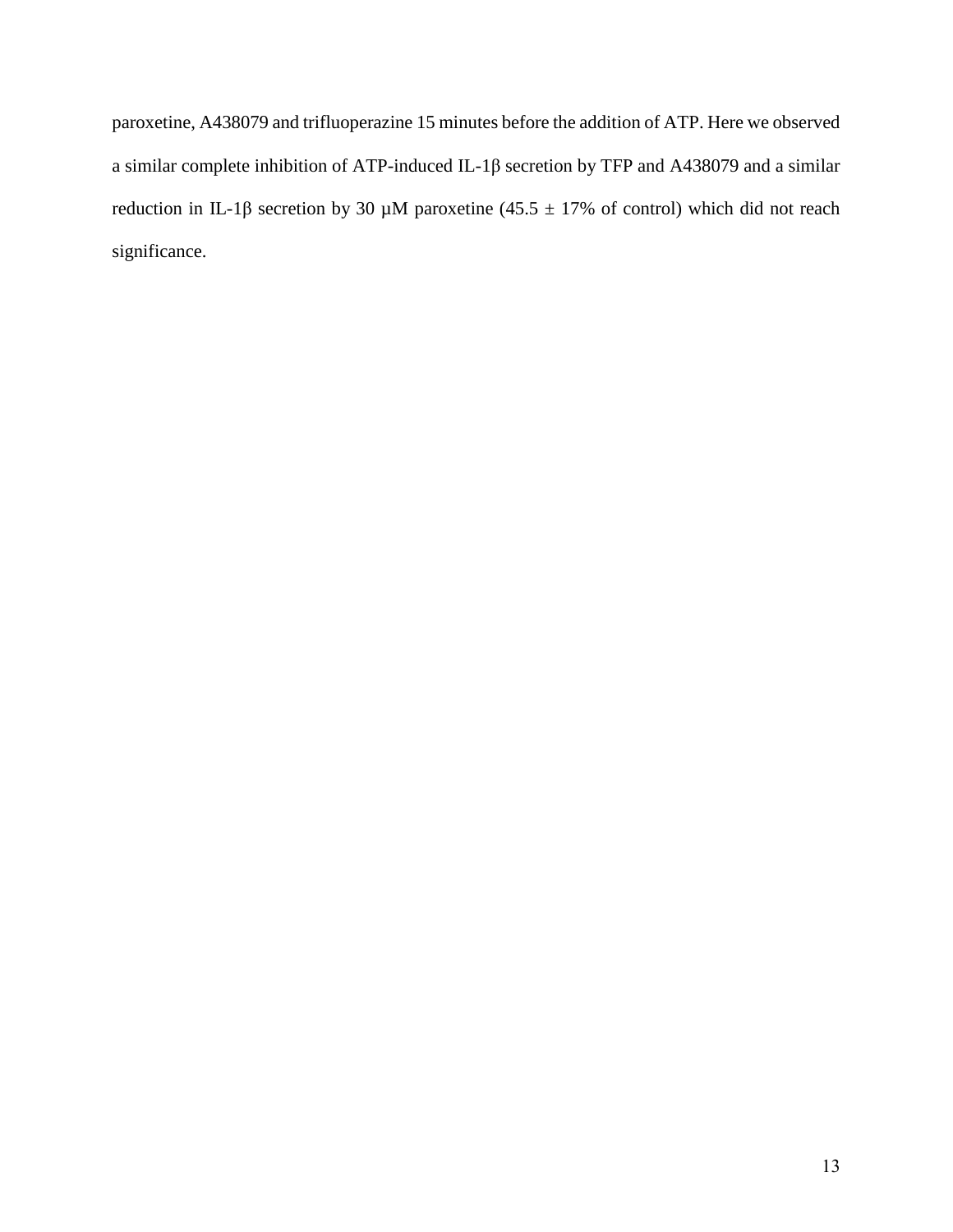paroxetine, A438079 and trifluoperazine 15 minutes before the addition of ATP. Here we observed a similar complete inhibition of ATP-induced IL-1β secretion by TFP and A438079 and a similar reduction in IL-1β secretion by 30  $\mu$ M paroxetine (45.5 ± 17% of control) which did not reach significance.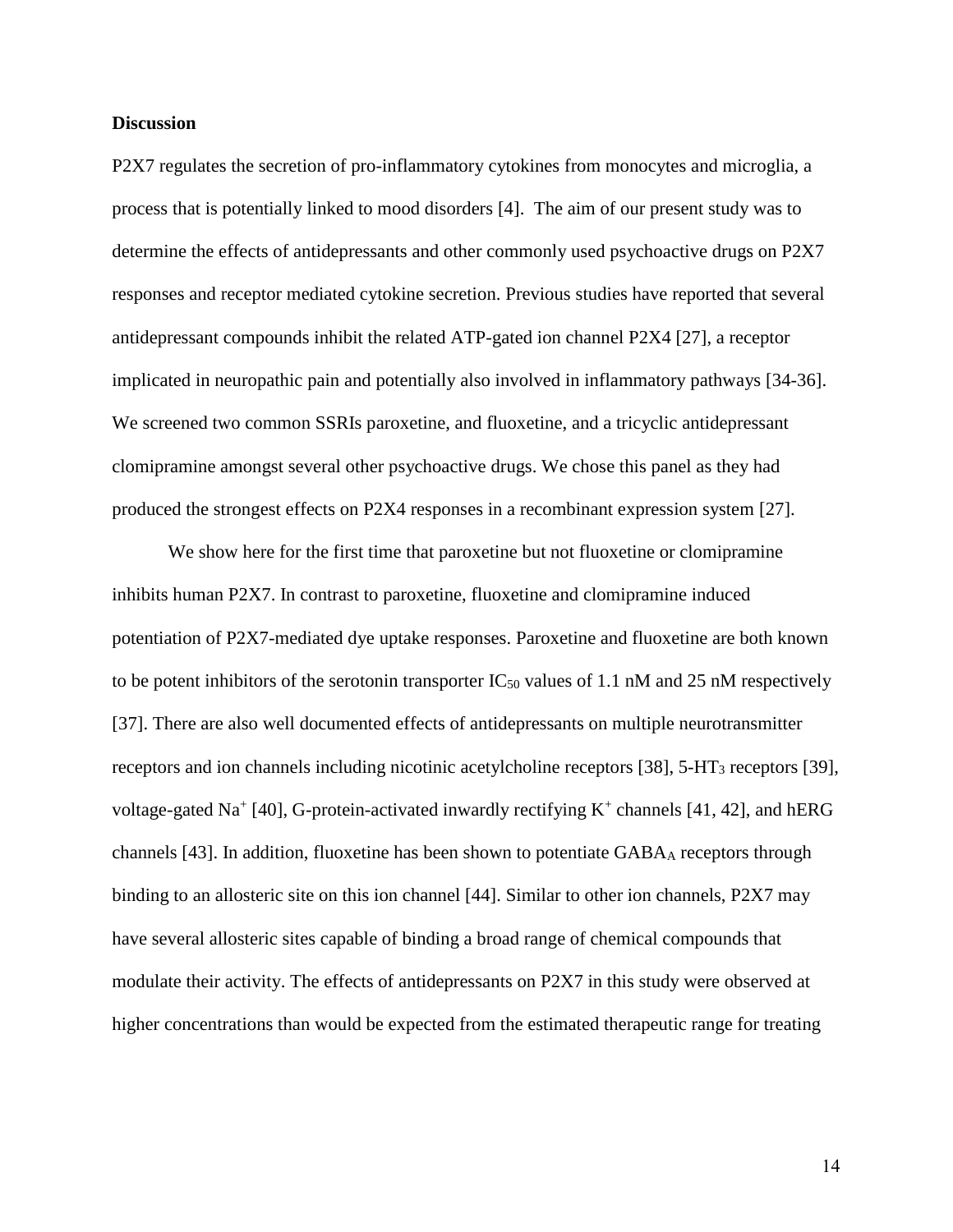#### **Discussion**

P2X7 regulates the secretion of pro-inflammatory cytokines from monocytes and microglia, a process that is potentially linked to mood disorders [\[4\]](#page-17-3). The aim of our present study was to determine the effects of antidepressants and other commonly used psychoactive drugs on P2X7 responses and receptor mediated cytokine secretion. Previous studies have reported that several antidepressant compounds inhibit the related ATP-gated ion channel P2X4 [\[27\]](#page-18-9), a receptor implicated in neuropathic pain and potentially also involved in inflammatory pathways [\[34-36\]](#page-18-16). We screened two common SSRIs paroxetine, and fluoxetine, and a tricyclic antidepressant clomipramine amongst several other psychoactive drugs. We chose this panel as they had produced the strongest effects on P2X4 responses in a recombinant expression system [\[27\]](#page-18-9).

We show here for the first time that paroxetine but not fluoxetine or clomipramine inhibits human P2X7. In contrast to paroxetine, fluoxetine and clomipramine induced potentiation of P2X7-mediated dye uptake responses. Paroxetine and fluoxetine are both known to be potent inhibitors of the serotonin transporter  $IC_{50}$  values of 1.1 nM and 25 nM respectively [\[37\]](#page-18-17). There are also well documented effects of antidepressants on multiple neurotransmitter receptors and ion channels including nicotinic acetylcholine receptors [\[38\]](#page-19-0), 5-HT<sub>3</sub> receptors [\[39\]](#page-19-1), voltage-gated Na<sup>+</sup> [\[40\]](#page-19-2), G-protein-activated inwardly rectifying  $K^+$  channels [\[41,](#page-19-3) [42\]](#page-19-4), and hERG channels [\[43\]](#page-19-5). In addition, fluoxetine has been shown to potentiate  $GABA_A$  receptors through binding to an allosteric site on this ion channel [\[44\]](#page-19-6). Similar to other ion channels, P2X7 may have several allosteric sites capable of binding a broad range of chemical compounds that modulate their activity. The effects of antidepressants on P2X7 in this study were observed at higher concentrations than would be expected from the estimated therapeutic range for treating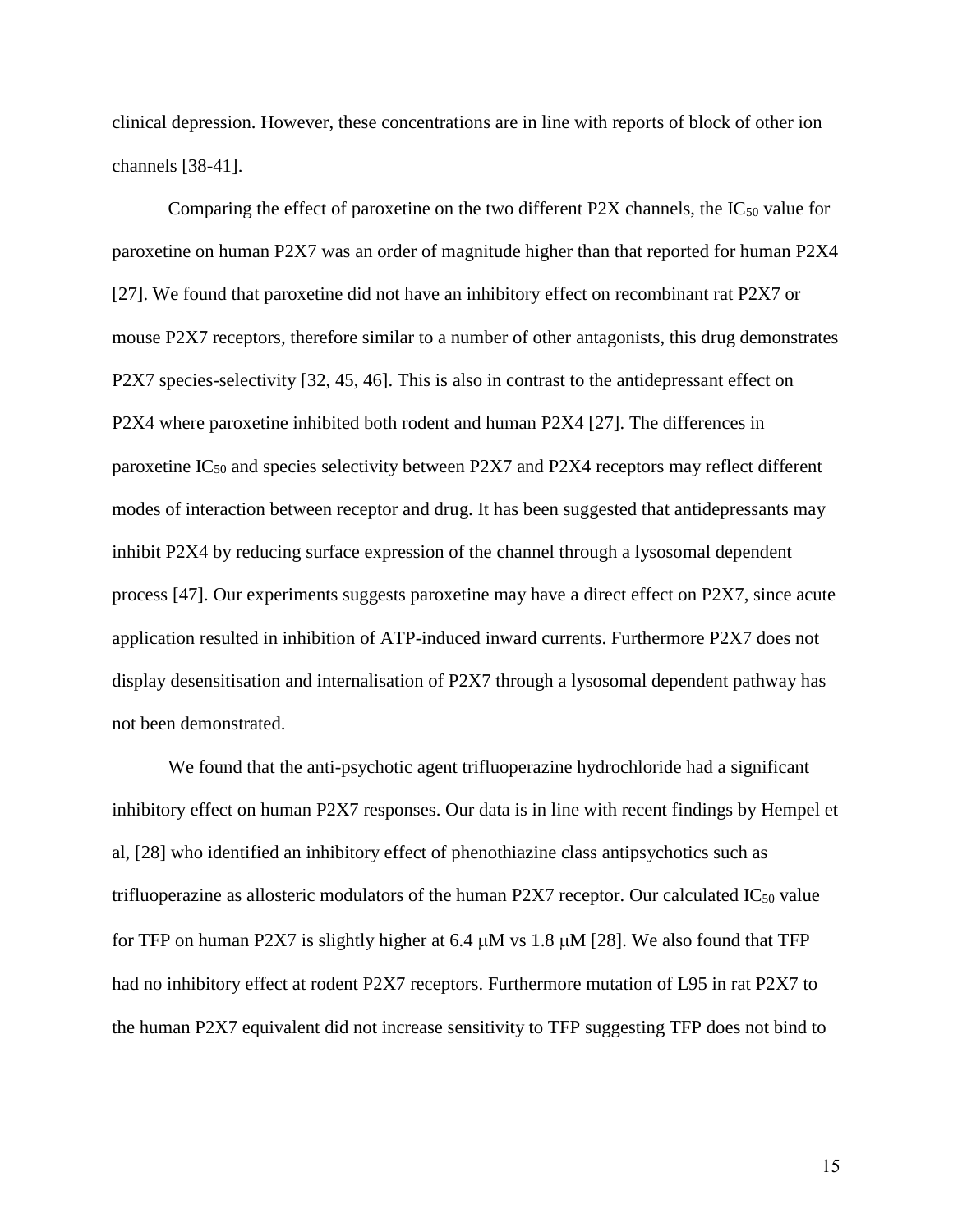clinical depression. However, these concentrations are in line with reports of block of other ion channels [\[38-41\]](#page-19-0).

Comparing the effect of paroxetine on the two different P2X channels, the  $IC_{50}$  value for paroxetine on human P2X7 was an order of magnitude higher than that reported for human P2X4 [\[27\]](#page-18-9). We found that paroxetine did not have an inhibitory effect on recombinant rat P2X7 or mouse P2X7 receptors, therefore similar to a number of other antagonists, this drug demonstrates P2X7 species-selectivity [\[32,](#page-18-14) [45,](#page-19-7) [46\]](#page-19-8). This is also in contrast to the antidepressant effect on P2X4 where paroxetine inhibited both rodent and human P2X4 [\[27\]](#page-18-9). The differences in paroxetine IC<sup>50</sup> and species selectivity between P2X7 and P2X4 receptors may reflect different modes of interaction between receptor and drug. It has been suggested that antidepressants may inhibit P2X4 by reducing surface expression of the channel through a lysosomal dependent process [\[47\]](#page-19-9). Our experiments suggests paroxetine may have a direct effect on P2X7, since acute application resulted in inhibition of ATP-induced inward currents. Furthermore P2X7 does not display desensitisation and internalisation of P2X7 through a lysosomal dependent pathway has not been demonstrated.

We found that the anti-psychotic agent trifluoperazine hydrochloride had a significant inhibitory effect on human P2X7 responses. Our data is in line with recent findings by Hempel et al, [\[28\]](#page-18-10) who identified an inhibitory effect of phenothiazine class antipsychotics such as trifluoperazine as allosteric modulators of the human P2X7 receptor. Our calculated  $IC_{50}$  value for TFP on human P2X7 is slightly higher at 6.4  $\mu$ M vs 1.8  $\mu$ M [\[28\]](#page-18-10). We also found that TFP had no inhibitory effect at rodent P2X7 receptors. Furthermore mutation of L95 in rat P2X7 to the human P2X7 equivalent did not increase sensitivity to TFP suggesting TFP does not bind to

15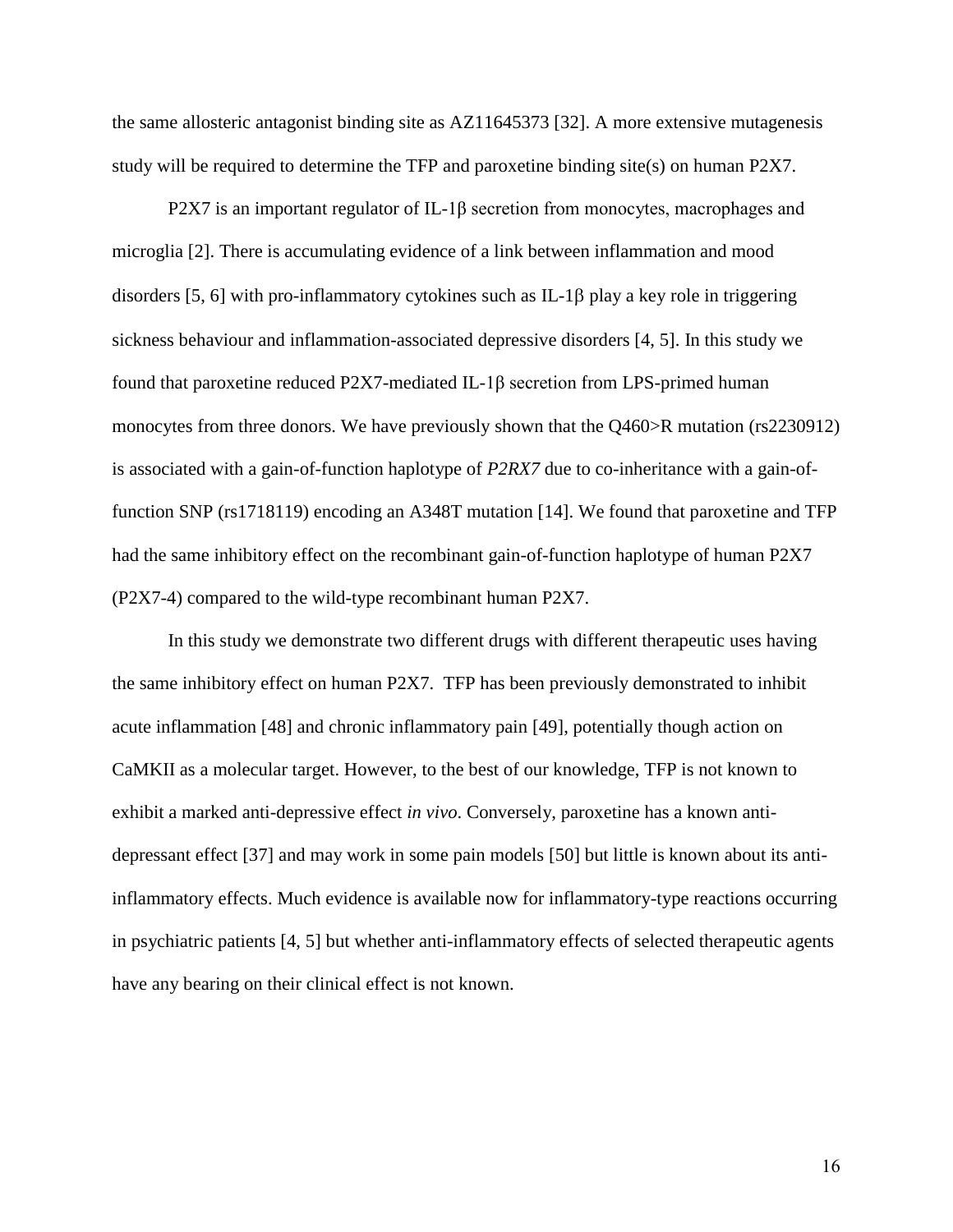the same allosteric antagonist binding site as AZ11645373 [\[32\]](#page-18-14). A more extensive mutagenesis study will be required to determine the TFP and paroxetine binding site(s) on human P2X7.

P2X7 is an important regulator of IL-1 $\beta$  secretion from monocytes, macrophages and microglia [\[2\]](#page-17-1). There is accumulating evidence of a link between inflammation and mood disorders [\[5,](#page-17-9) [6\]](#page-17-10) with pro-inflammatory cytokines such as IL-1 $\beta$  play a key role in triggering sickness behaviour and inflammation-associated depressive disorders [\[4,](#page-17-3) [5\]](#page-17-9). In this study we found that paroxetine reduced P2X7-mediated IL-1β secretion from LPS-primed human monocytes from three donors. We have previously shown that the Q460>R mutation (rs2230912) is associated with a gain-of-function haplotype of *P2RX7* due to co-inheritance with a gain-offunction SNP (rs1718119) encoding an A348T mutation [\[14\]](#page-17-5). We found that paroxetine and TFP had the same inhibitory effect on the recombinant gain-of-function haplotype of human P2X7 (P2X7-4) compared to the wild-type recombinant human P2X7.

In this study we demonstrate two different drugs with different therapeutic uses having the same inhibitory effect on human P2X7. TFP has been previously demonstrated to inhibit acute inflammation [\[48\]](#page-19-10) and chronic inflammatory pain [\[49\]](#page-19-11), potentially though action on CaMKII as a molecular target. However, to the best of our knowledge, TFP is not known to exhibit a marked anti-depressive effect *in vivo*. Conversely, paroxetine has a known antidepressant effect [\[37\]](#page-18-17) and may work in some pain models [\[50\]](#page-19-12) but little is known about its antiinflammatory effects. Much evidence is available now for inflammatory-type reactions occurring in psychiatric patients [\[4,](#page-17-3) [5\]](#page-17-9) but whether anti-inflammatory effects of selected therapeutic agents have any bearing on their clinical effect is not known.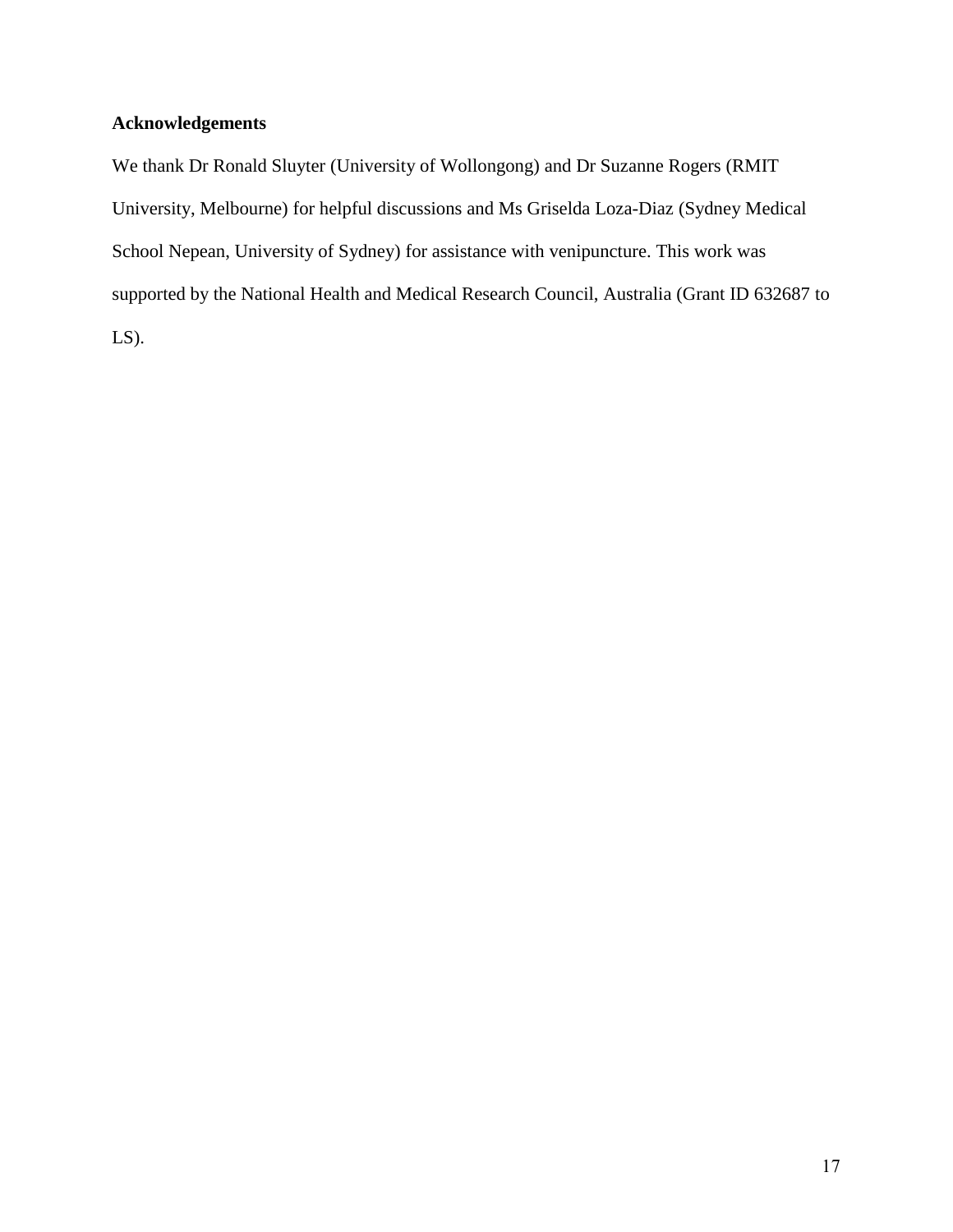# **Acknowledgements**

We thank Dr Ronald Sluyter (University of Wollongong) and Dr Suzanne Rogers (RMIT University, Melbourne) for helpful discussions and Ms Griselda Loza-Diaz (Sydney Medical School Nepean, University of Sydney) for assistance with venipuncture. This work was supported by the National Health and Medical Research Council, Australia (Grant ID 632687 to  $LS$ ).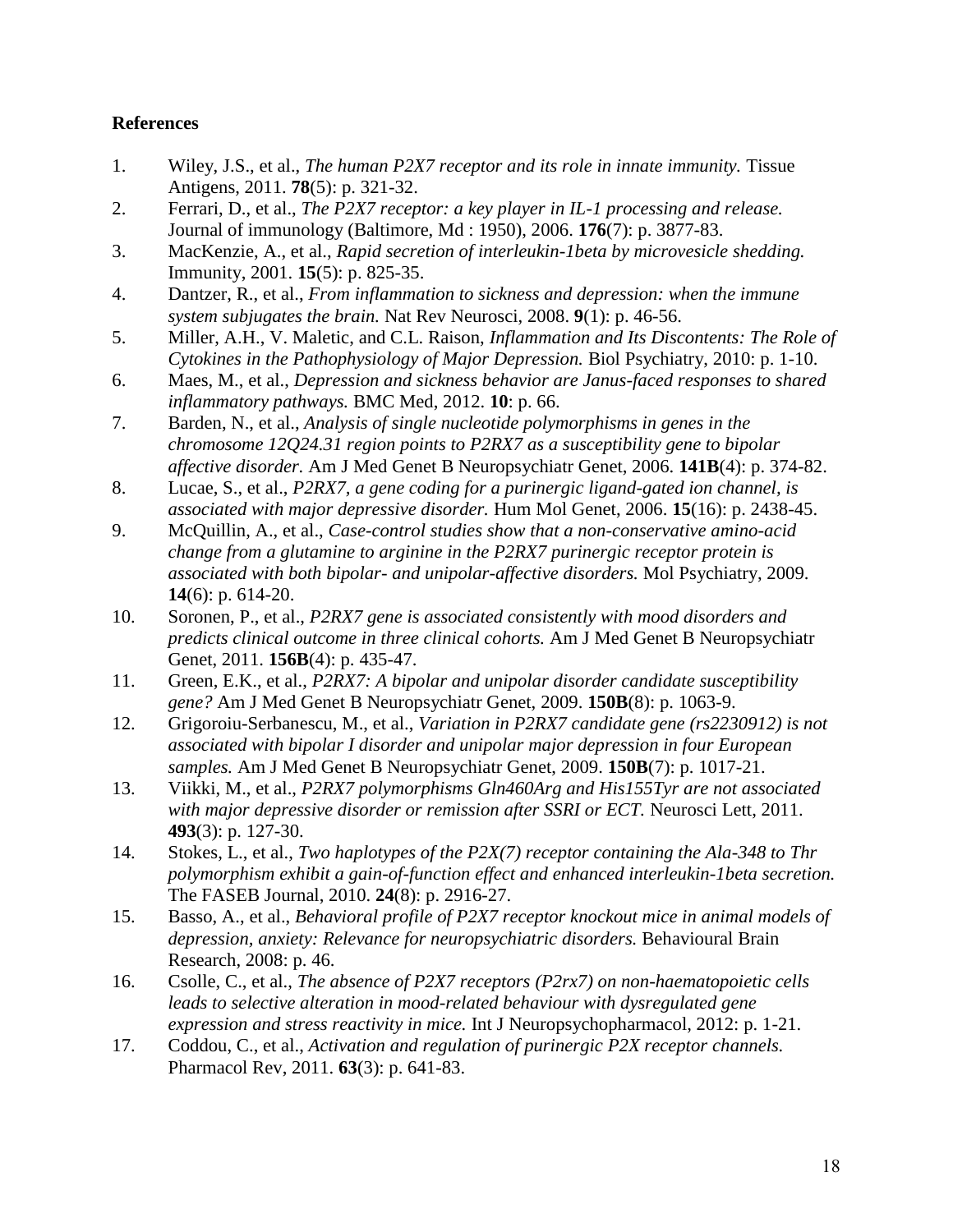# **References**

- <span id="page-17-0"></span>1. Wiley, J.S., et al., *The human P2X7 receptor and its role in innate immunity.* Tissue Antigens, 2011. **78**(5): p. 321-32.
- <span id="page-17-1"></span>2. Ferrari, D., et al., *The P2X7 receptor: a key player in IL-1 processing and release.* Journal of immunology (Baltimore, Md : 1950), 2006. **176**(7): p. 3877-83.
- <span id="page-17-2"></span>3. MacKenzie, A., et al., *Rapid secretion of interleukin-1beta by microvesicle shedding.* Immunity, 2001. **15**(5): p. 825-35.
- <span id="page-17-3"></span>4. Dantzer, R., et al., *From inflammation to sickness and depression: when the immune system subjugates the brain.* Nat Rev Neurosci, 2008. **9**(1): p. 46-56.
- <span id="page-17-9"></span>5. Miller, A.H., V. Maletic, and C.L. Raison, *Inflammation and Its Discontents: The Role of Cytokines in the Pathophysiology of Major Depression.* Biol Psychiatry, 2010: p. 1-10.
- <span id="page-17-10"></span>6. Maes, M., et al., *Depression and sickness behavior are Janus-faced responses to shared inflammatory pathways.* BMC Med, 2012. **10**: p. 66.
- <span id="page-17-4"></span>7. Barden, N., et al., *Analysis of single nucleotide polymorphisms in genes in the chromosome 12Q24.31 region points to P2RX7 as a susceptibility gene to bipolar affective disorder.* Am J Med Genet B Neuropsychiatr Genet, 2006. **141B**(4): p. 374-82.
- 8. Lucae, S., et al., *P2RX7, a gene coding for a purinergic ligand-gated ion channel, is associated with major depressive disorder.* Hum Mol Genet, 2006. **15**(16): p. 2438-45.
- 9. McQuillin, A., et al., *Case-control studies show that a non-conservative amino-acid change from a glutamine to arginine in the P2RX7 purinergic receptor protein is associated with both bipolar- and unipolar-affective disorders.* Mol Psychiatry, 2009. **14**(6): p. 614-20.
- 10. Soronen, P., et al., *P2RX7 gene is associated consistently with mood disorders and predicts clinical outcome in three clinical cohorts.* Am J Med Genet B Neuropsychiatr Genet, 2011. **156B**(4): p. 435-47.
- 11. Green, E.K., et al., *P2RX7: A bipolar and unipolar disorder candidate susceptibility gene?* Am J Med Genet B Neuropsychiatr Genet, 2009. **150B**(8): p. 1063-9.
- 12. Grigoroiu-Serbanescu, M., et al., *Variation in P2RX7 candidate gene (rs2230912) is not associated with bipolar I disorder and unipolar major depression in four European samples.* Am J Med Genet B Neuropsychiatr Genet, 2009. **150B**(7): p. 1017-21.
- 13. Viikki, M., et al., *P2RX7 polymorphisms Gln460Arg and His155Tyr are not associated with major depressive disorder or remission after SSRI or ECT.* Neurosci Lett, 2011. **493**(3): p. 127-30.
- <span id="page-17-5"></span>14. Stokes, L., et al., *Two haplotypes of the P2X(7) receptor containing the Ala-348 to Thr polymorphism exhibit a gain-of-function effect and enhanced interleukin-1beta secretion.* The FASEB Journal, 2010. **24**(8): p. 2916-27.
- <span id="page-17-6"></span>15. Basso, A., et al., *Behavioral profile of P2X7 receptor knockout mice in animal models of depression, anxiety: Relevance for neuropsychiatric disorders.* Behavioural Brain Research, 2008: p. 46.
- <span id="page-17-7"></span>16. Csolle, C., et al., *The absence of P2X7 receptors (P2rx7) on non-haematopoietic cells leads to selective alteration in mood-related behaviour with dysregulated gene expression and stress reactivity in mice.* Int J Neuropsychopharmacol, 2012: p. 1-21.
- <span id="page-17-8"></span>17. Coddou, C., et al., *Activation and regulation of purinergic P2X receptor channels.* Pharmacol Rev, 2011. **63**(3): p. 641-83.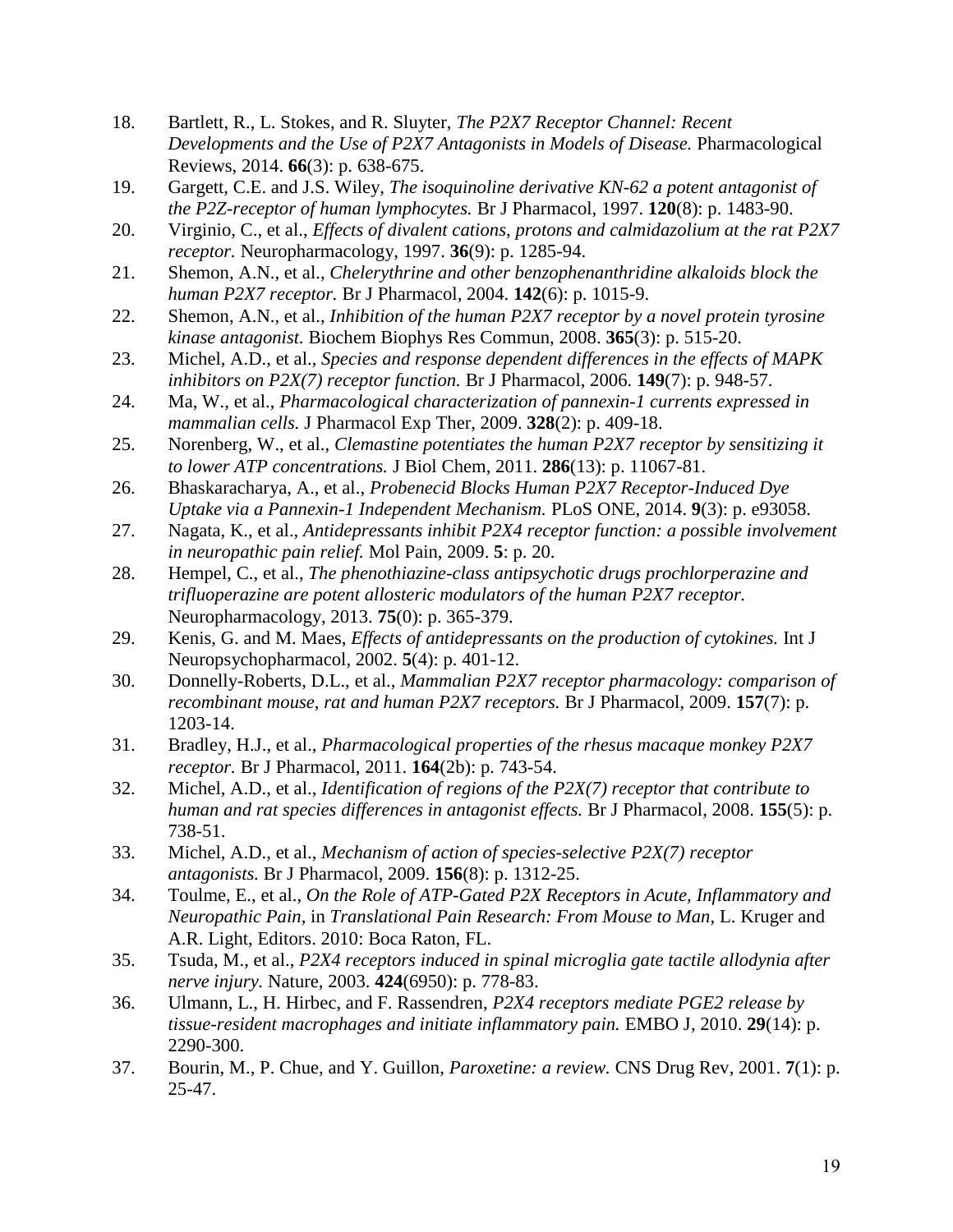- <span id="page-18-0"></span>18. Bartlett, R., L. Stokes, and R. Sluyter, *The P2X7 Receptor Channel: Recent Developments and the Use of P2X7 Antagonists in Models of Disease.* Pharmacological Reviews, 2014. **66**(3): p. 638-675.
- <span id="page-18-1"></span>19. Gargett, C.E. and J.S. Wiley, *The isoquinoline derivative KN-62 a potent antagonist of the P2Z-receptor of human lymphocytes.* Br J Pharmacol, 1997. **120**(8): p. 1483-90.
- <span id="page-18-2"></span>20. Virginio, C., et al., *Effects of divalent cations, protons and calmidazolium at the rat P2X7 receptor.* Neuropharmacology, 1997. **36**(9): p. 1285-94.
- <span id="page-18-3"></span>21. Shemon, A.N., et al., *Chelerythrine and other benzophenanthridine alkaloids block the human P2X7 receptor.* Br J Pharmacol, 2004. **142**(6): p. 1015-9.
- <span id="page-18-4"></span>22. Shemon, A.N., et al., *Inhibition of the human P2X7 receptor by a novel protein tyrosine kinase antagonist.* Biochem Biophys Res Commun, 2008. **365**(3): p. 515-20.
- <span id="page-18-5"></span>23. Michel, A.D., et al., *Species and response dependent differences in the effects of MAPK inhibitors on P2X(7) receptor function.* Br J Pharmacol, 2006. **149**(7): p. 948-57.
- <span id="page-18-6"></span>24. Ma, W., et al., *Pharmacological characterization of pannexin-1 currents expressed in mammalian cells.* J Pharmacol Exp Ther, 2009. **328**(2): p. 409-18.
- <span id="page-18-7"></span>25. Norenberg, W., et al., *Clemastine potentiates the human P2X7 receptor by sensitizing it to lower ATP concentrations.* J Biol Chem, 2011. **286**(13): p. 11067-81.
- <span id="page-18-8"></span>26. Bhaskaracharya, A., et al., *Probenecid Blocks Human P2X7 Receptor-Induced Dye Uptake via a Pannexin-1 Independent Mechanism.* PLoS ONE, 2014. **9**(3): p. e93058.
- <span id="page-18-9"></span>27. Nagata, K., et al., *Antidepressants inhibit P2X4 receptor function: a possible involvement in neuropathic pain relief.* Mol Pain, 2009. **5**: p. 20.
- <span id="page-18-10"></span>28. Hempel, C., et al., *The phenothiazine-class antipsychotic drugs prochlorperazine and trifluoperazine are potent allosteric modulators of the human P2X7 receptor.* Neuropharmacology, 2013. **75**(0): p. 365-379.
- <span id="page-18-11"></span>29. Kenis, G. and M. Maes, *Effects of antidepressants on the production of cytokines.* Int J Neuropsychopharmacol, 2002. **5**(4): p. 401-12.
- <span id="page-18-12"></span>30. Donnelly-Roberts, D.L., et al., *Mammalian P2X7 receptor pharmacology: comparison of recombinant mouse, rat and human P2X7 receptors.* Br J Pharmacol, 2009. **157**(7): p. 1203-14.
- <span id="page-18-13"></span>31. Bradley, H.J., et al., *Pharmacological properties of the rhesus macaque monkey P2X7 receptor.* Br J Pharmacol, 2011. **164**(2b): p. 743-54.
- <span id="page-18-14"></span>32. Michel, A.D., et al., *Identification of regions of the P2X(7) receptor that contribute to human and rat species differences in antagonist effects.* Br J Pharmacol, 2008. **155**(5): p. 738-51.
- <span id="page-18-15"></span>33. Michel, A.D., et al., *Mechanism of action of species-selective P2X(7) receptor antagonists.* Br J Pharmacol, 2009. **156**(8): p. 1312-25.
- <span id="page-18-16"></span>34. Toulme, E., et al., *On the Role of ATP-Gated P2X Receptors in Acute, Inflammatory and Neuropathic Pain*, in *Translational Pain Research: From Mouse to Man*, L. Kruger and A.R. Light, Editors. 2010: Boca Raton, FL.
- 35. Tsuda, M., et al., *P2X4 receptors induced in spinal microglia gate tactile allodynia after nerve injury.* Nature, 2003. **424**(6950): p. 778-83.
- 36. Ulmann, L., H. Hirbec, and F. Rassendren, *P2X4 receptors mediate PGE2 release by tissue-resident macrophages and initiate inflammatory pain.* EMBO J, 2010. **29**(14): p. 2290-300.
- <span id="page-18-17"></span>37. Bourin, M., P. Chue, and Y. Guillon, *Paroxetine: a review.* CNS Drug Rev, 2001. **7**(1): p. 25-47.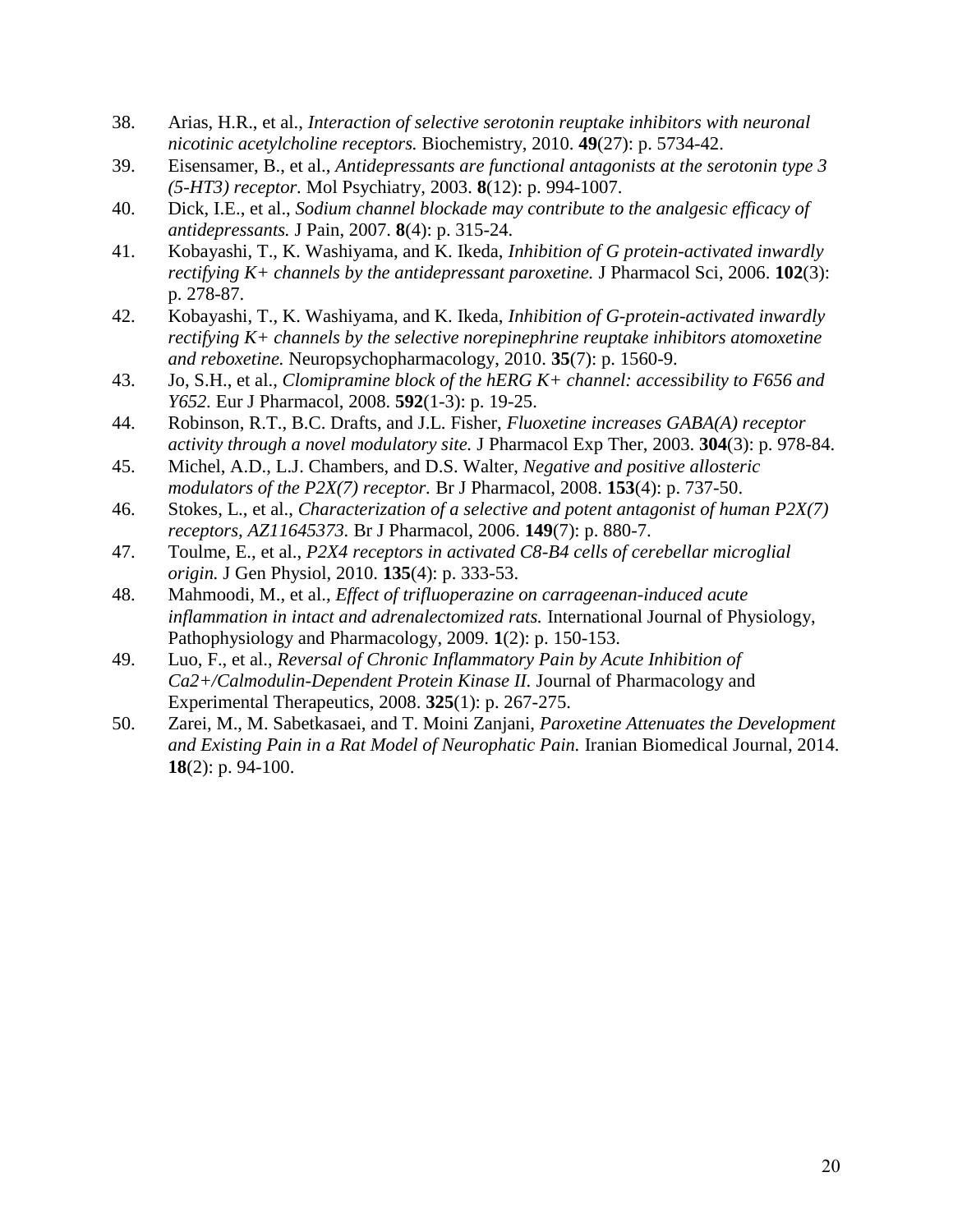- <span id="page-19-0"></span>38. Arias, H.R., et al., *Interaction of selective serotonin reuptake inhibitors with neuronal nicotinic acetylcholine receptors.* Biochemistry, 2010. **49**(27): p. 5734-42.
- <span id="page-19-1"></span>39. Eisensamer, B., et al., *Antidepressants are functional antagonists at the serotonin type 3 (5-HT3) receptor.* Mol Psychiatry, 2003. **8**(12): p. 994-1007.
- <span id="page-19-2"></span>40. Dick, I.E., et al., *Sodium channel blockade may contribute to the analgesic efficacy of antidepressants.* J Pain, 2007. **8**(4): p. 315-24.
- <span id="page-19-3"></span>41. Kobayashi, T., K. Washiyama, and K. Ikeda, *Inhibition of G protein-activated inwardly rectifying K+ channels by the antidepressant paroxetine.* J Pharmacol Sci, 2006. **102**(3): p. 278-87.
- <span id="page-19-4"></span>42. Kobayashi, T., K. Washiyama, and K. Ikeda, *Inhibition of G-protein-activated inwardly rectifying K+ channels by the selective norepinephrine reuptake inhibitors atomoxetine and reboxetine.* Neuropsychopharmacology, 2010. **35**(7): p. 1560-9.
- <span id="page-19-5"></span>43. Jo, S.H., et al., *Clomipramine block of the hERG K+ channel: accessibility to F656 and Y652.* Eur J Pharmacol, 2008. **592**(1-3): p. 19-25.
- <span id="page-19-6"></span>44. Robinson, R.T., B.C. Drafts, and J.L. Fisher, *Fluoxetine increases GABA(A) receptor activity through a novel modulatory site.* J Pharmacol Exp Ther, 2003. **304**(3): p. 978-84.
- <span id="page-19-7"></span>45. Michel, A.D., L.J. Chambers, and D.S. Walter, *Negative and positive allosteric modulators of the P2X(7) receptor.* Br J Pharmacol, 2008. **153**(4): p. 737-50.
- <span id="page-19-8"></span>46. Stokes, L., et al., *Characterization of a selective and potent antagonist of human P2X(7) receptors, AZ11645373.* Br J Pharmacol, 2006. **149**(7): p. 880-7.
- <span id="page-19-9"></span>47. Toulme, E., et al., *P2X4 receptors in activated C8-B4 cells of cerebellar microglial origin.* J Gen Physiol, 2010. **135**(4): p. 333-53.
- <span id="page-19-10"></span>48. Mahmoodi, M., et al., *Effect of trifluoperazine on carrageenan-induced acute inflammation in intact and adrenalectomized rats.* International Journal of Physiology, Pathophysiology and Pharmacology, 2009. **1**(2): p. 150-153.
- <span id="page-19-11"></span>49. Luo, F., et al., *Reversal of Chronic Inflammatory Pain by Acute Inhibition of Ca2+/Calmodulin-Dependent Protein Kinase II.* Journal of Pharmacology and Experimental Therapeutics, 2008. **325**(1): p. 267-275.
- <span id="page-19-12"></span>50. Zarei, M., M. Sabetkasaei, and T. Moini Zanjani, *Paroxetine Attenuates the Development and Existing Pain in a Rat Model of Neurophatic Pain.* Iranian Biomedical Journal, 2014. **18**(2): p. 94-100.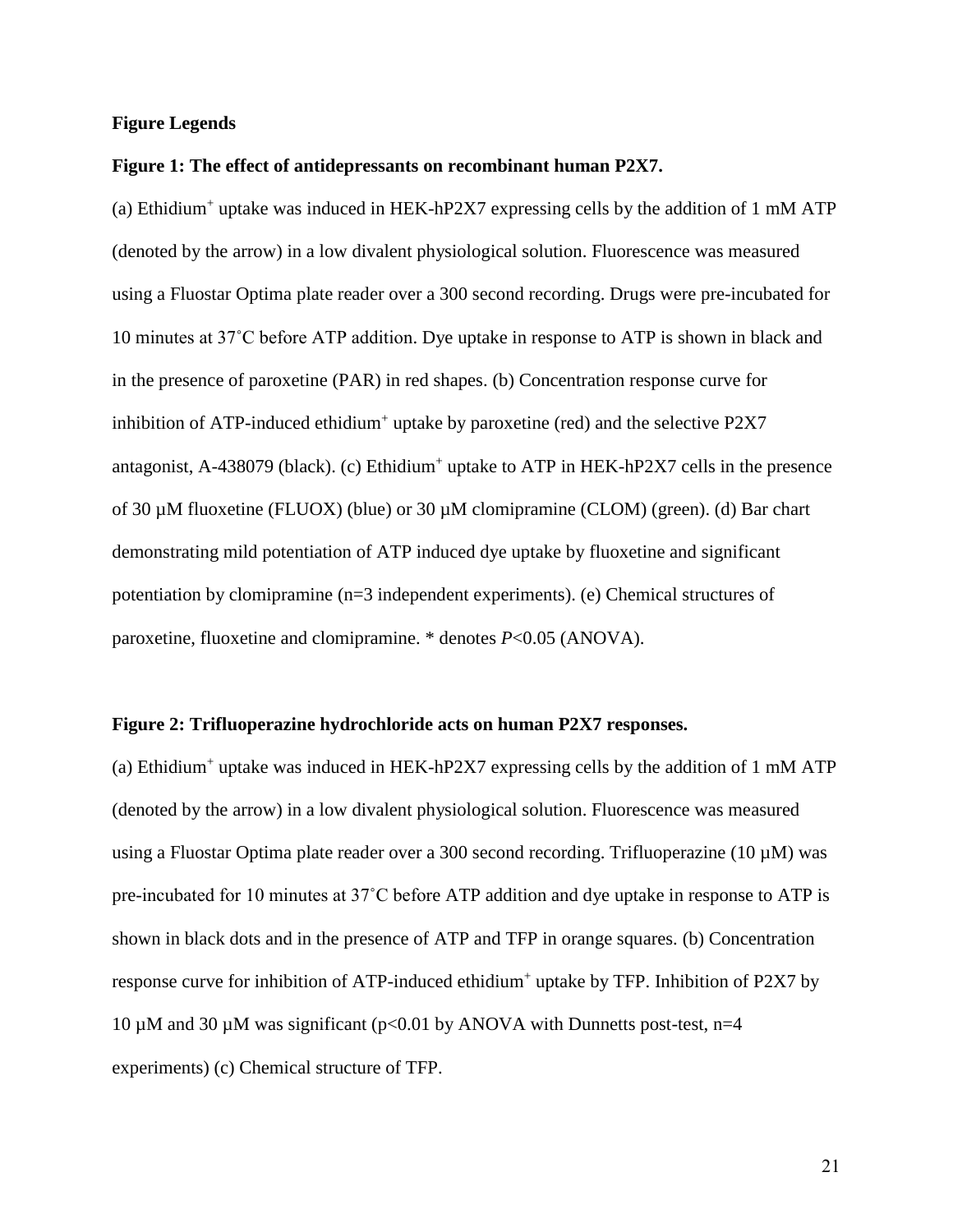#### **Figure Legends**

#### **Figure 1: The effect of antidepressants on recombinant human P2X7.**

(a) Ethidium<sup>+</sup> uptake was induced in HEK-hP2X7 expressing cells by the addition of 1 mM ATP (denoted by the arrow) in a low divalent physiological solution. Fluorescence was measured using a Fluostar Optima plate reader over a 300 second recording. Drugs were pre-incubated for 10 minutes at 37˚C before ATP addition. Dye uptake in response to ATP is shown in black and in the presence of paroxetine (PAR) in red shapes. (b) Concentration response curve for inhibition of ATP-induced ethidium<sup>+</sup> uptake by paroxetine (red) and the selective P2X7 antagonist, A-438079 (black). (c) Ethidium<sup>+</sup> uptake to ATP in HEK-hP2X7 cells in the presence of 30 µM fluoxetine (FLUOX) (blue) or 30 µM clomipramine (CLOM) (green). (d) Bar chart demonstrating mild potentiation of ATP induced dye uptake by fluoxetine and significant potentiation by clomipramine (n=3 independent experiments). (e) Chemical structures of paroxetine, fluoxetine and clomipramine. \* denotes *P*<0.05 (ANOVA).

#### **Figure 2: Trifluoperazine hydrochloride acts on human P2X7 responses.**

(a) Ethidium<sup>+</sup> uptake was induced in HEK-hP2X7 expressing cells by the addition of 1 mM ATP (denoted by the arrow) in a low divalent physiological solution. Fluorescence was measured using a Fluostar Optima plate reader over a 300 second recording. Trifluoperazine (10  $\mu$ M) was pre-incubated for 10 minutes at 37˚C before ATP addition and dye uptake in response to ATP is shown in black dots and in the presence of ATP and TFP in orange squares. (b) Concentration response curve for inhibition of ATP-induced ethidium<sup>+</sup> uptake by TFP. Inhibition of P2X7 by 10  $\mu$ M and 30  $\mu$ M was significant (p<0.01 by ANOVA with Dunnetts post-test, n=4 experiments) (c) Chemical structure of TFP.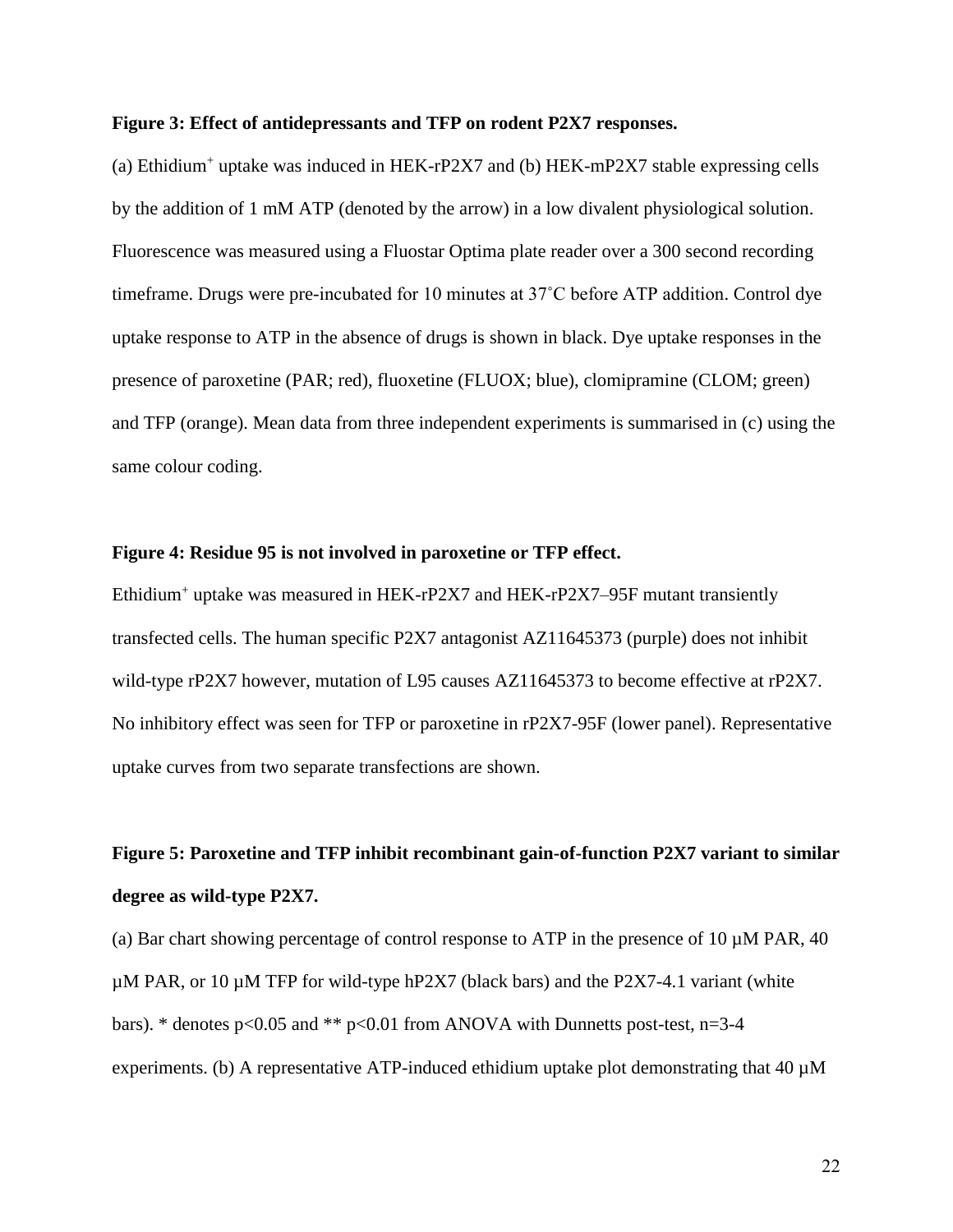#### **Figure 3: Effect of antidepressants and TFP on rodent P2X7 responses.**

(a) Ethidium<sup>+</sup> uptake was induced in HEK-rP2X7 and (b) HEK-mP2X7 stable expressing cells by the addition of 1 mM ATP (denoted by the arrow) in a low divalent physiological solution. Fluorescence was measured using a Fluostar Optima plate reader over a 300 second recording timeframe. Drugs were pre-incubated for 10 minutes at 37˚C before ATP addition. Control dye uptake response to ATP in the absence of drugs is shown in black. Dye uptake responses in the presence of paroxetine (PAR; red), fluoxetine (FLUOX; blue), clomipramine (CLOM; green) and TFP (orange). Mean data from three independent experiments is summarised in (c) using the same colour coding.

#### **Figure 4: Residue 95 is not involved in paroxetine or TFP effect.**

Ethidium<sup>+</sup> uptake was measured in HEK-rP2X7 and HEK-rP2X7–95F mutant transiently transfected cells. The human specific P2X7 antagonist AZ11645373 (purple) does not inhibit wild-type rP2X7 however, mutation of L95 causes AZ11645373 to become effective at rP2X7. No inhibitory effect was seen for TFP or paroxetine in rP2X7-95F (lower panel). Representative uptake curves from two separate transfections are shown.

# **Figure 5: Paroxetine and TFP inhibit recombinant gain-of-function P2X7 variant to similar degree as wild-type P2X7.**

(a) Bar chart showing percentage of control response to ATP in the presence of 10  $\mu$ M PAR, 40  $\mu$ M PAR, or 10  $\mu$ M TFP for wild-type hP2X7 (black bars) and the P2X7-4.1 variant (white bars). \* denotes  $p<0.05$  and \*\*  $p<0.01$  from ANOVA with Dunnetts post-test, n=3-4 experiments. (b) A representative ATP-induced ethidium uptake plot demonstrating that  $40 \mu M$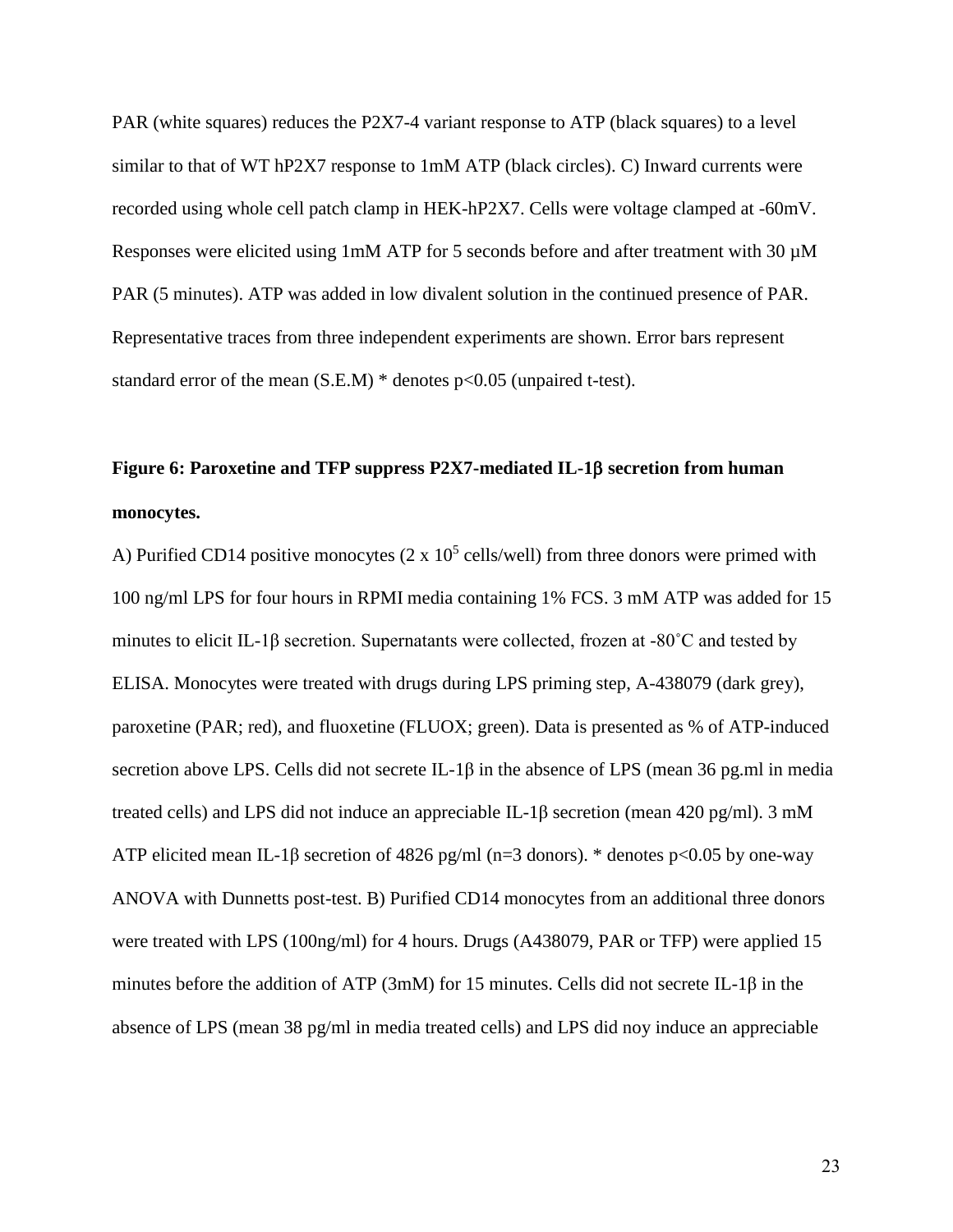PAR (white squares) reduces the P2X7-4 variant response to ATP (black squares) to a level similar to that of WT hP2X7 response to 1mM ATP (black circles). C) Inward currents were recorded using whole cell patch clamp in HEK-hP2X7. Cells were voltage clamped at -60mV. Responses were elicited using 1mM ATP for 5 seconds before and after treatment with 30  $\mu$ M PAR (5 minutes). ATP was added in low divalent solution in the continued presence of PAR. Representative traces from three independent experiments are shown. Error bars represent standard error of the mean  $(S.E.M)$  \* denotes  $p<0.05$  (unpaired t-test).

# **Figure 6: Paroxetine and TFP suppress P2X7-mediated IL-1 secretion from human monocytes.**

A) Purified CD14 positive monocytes  $(2 \times 10^5 \text{ cells/well})$  from three donors were primed with 100 ng/ml LPS for four hours in RPMI media containing 1% FCS. 3 mM ATP was added for 15 minutes to elicit IL-1β secretion. Supernatants were collected, frozen at -80˚C and tested by ELISA. Monocytes were treated with drugs during LPS priming step, A-438079 (dark grey), paroxetine (PAR; red), and fluoxetine (FLUOX; green). Data is presented as % of ATP-induced secretion above LPS. Cells did not secrete IL-1β in the absence of LPS (mean 36 pg.ml in media treated cells) and LPS did not induce an appreciable IL-1β secretion (mean 420 pg/ml). 3 mM ATP elicited mean IL-1β secretion of 4826 pg/ml (n=3 donors). \* denotes p<0.05 by one-way ANOVA with Dunnetts post-test. B) Purified CD14 monocytes from an additional three donors were treated with LPS (100ng/ml) for 4 hours. Drugs (A438079, PAR or TFP) were applied 15 minutes before the addition of ATP (3mM) for 15 minutes. Cells did not secrete IL-1β in the absence of LPS (mean 38 pg/ml in media treated cells) and LPS did noy induce an appreciable